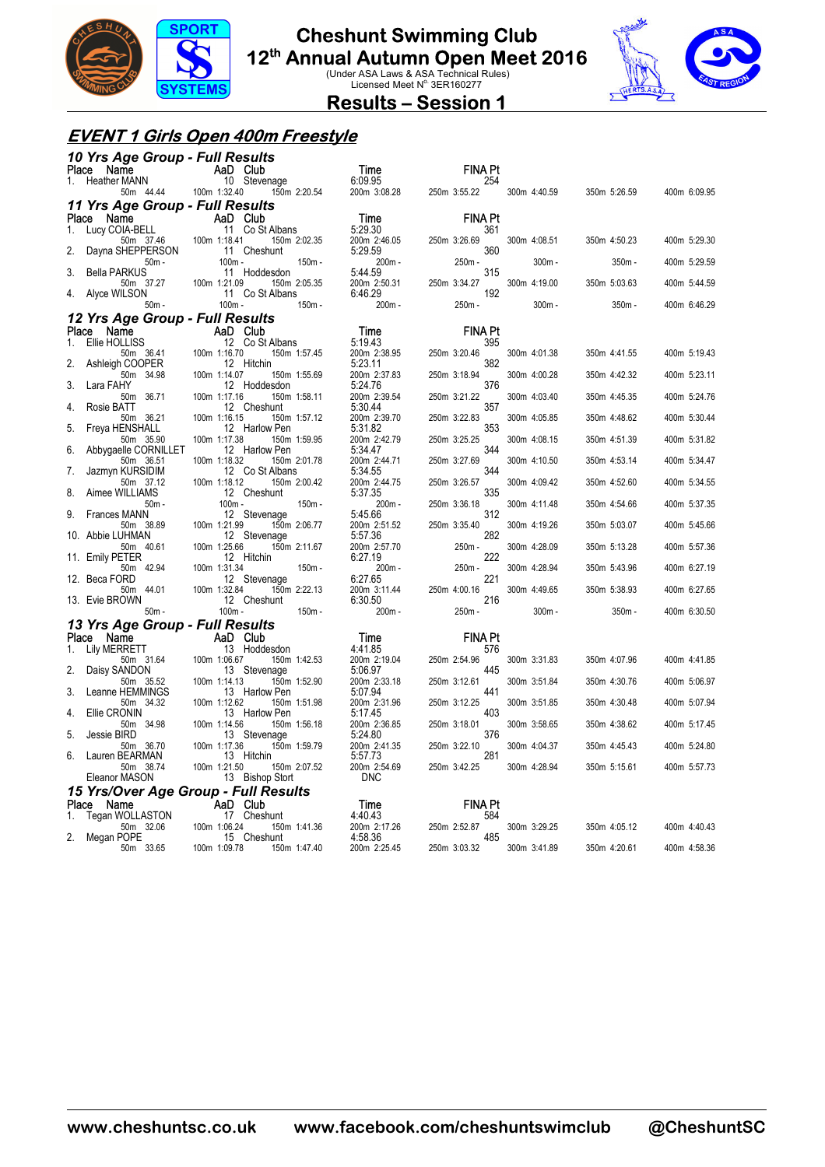

### **Cheshunt Swimming Club**

**12<sup>th</sup> Annual Autumn Open Meet 2016**<br>Under ASA Laws & ASA Technical Rules)<br>Licensed Meet N<sup>o.</sup> 3ER160277



#### **Results – Session 1**

#### **EVENT 1 Girls Open 400m Freestyle**

| 10 Yrs Age Group - Full Results         |                                                 |                            |                       |              |              |              |
|-----------------------------------------|-------------------------------------------------|----------------------------|-----------------------|--------------|--------------|--------------|
| Name<br>Place                           | <b>Example 2</b> AaD Club                       | Time                       | FINA Pt               |              |              |              |
| <b>Heather MANN</b><br>1.<br>50m 44.44  | 10 Stevenage<br>100m 1:32.40<br>150m 2:20.54    | 6:09.95<br>200m 3:08.28    | 254<br>250m 3:55.22   | 300m 4:40.59 | 350m 5:26.59 | 400m 6:09.95 |
| 11 Yrs Age Group - Full Results         |                                                 |                            |                       |              |              |              |
| Place<br>Name                           | AaD Club                                        | Time                       | <b>FINA Pt</b>        |              |              |              |
| Lucy COIA-BELL<br>1.                    | 11 Co St Albans                                 | 5:29.30                    | 361                   |              |              |              |
| 50m 37.46<br>2.<br>Dayna SHEPPERSON     | 100m 1:18.41<br>150m 2:02.35<br>11 Cheshunt     | 200m 2:46.05<br>5:29.59    | 250m 3:26.69<br>360   | 300m 4:08.51 | 350m 4:50.23 | 400m 5:29.30 |
| $50m -$<br><b>Bella PARKUS</b><br>3.    | $100m -$<br>150m -<br>11 Hoddesdon              | 200m-<br>5:44.59           | 250m-<br>315          | $300m -$     | 350m -       | 400m 5:29.59 |
| 50m 37.27<br>Alyce WILSON<br>4.         | 100m 1:21.09<br>150m 2:05.35<br>11 Co St Albans | 200m 2:50.31<br>6:46.29    | 250m 3:34.27<br>192   | 300m 4:19.00 | 350m 5:03.63 | 400m 5:44.59 |
| $50m -$                                 | 150m -<br>$100m -$                              | 200m-                      | 250m -                | $300m -$     | 350m -       | 400m 6:46.29 |
| 12 Yrs Age Group - Full Results         |                                                 |                            |                       |              |              |              |
| Place<br>Name                           | AaD Club                                        | Time                       | <b>FINA Pt</b>        |              |              |              |
| Ellie HOLLISS<br>1.                     | 12 Co St Albans                                 | 5:19.43                    | 395                   |              |              |              |
| 50m 36.41<br>2.<br>Ashleigh COOPER      | 100m 1:16.70<br>150m 1:57.45<br>12 Hitchin      | 200m 2:38.95<br>5:23.11    | 250m 3:20.46<br>382   | 300m 4:01.38 | 350m 4:41.55 | 400m 5:19.43 |
| 50m 34.98<br>3.<br>Lara FAHY            | 100m 1:14.07<br>150m 1:55.69<br>12 Hoddesdon    | 200m 2:37.83<br>5:24.76    | 250m 3:18.94<br>376   | 300m 4:00.28 | 350m 4:42.32 | 400m 5:23.11 |
| 50m 36.71<br>Rosie BATT<br>4.           | 100m 1:17.16<br>150m 1:58.11<br>12 Cheshunt     | 200m 2:39.54<br>5:30.44    | 250m 3:21.22<br>357   | 300m 4:03.40 | 350m 4:45.35 | 400m 5:24.76 |
| 50m 36.21<br>5.<br>Freya HENSHALL       | 100m 1:16.15<br>150m 1:57.12<br>12 Harlow Pen   | 200m 2:39.70<br>5:31.82    | 250m 3:22.83<br>353   | 300m 4:05.85 | 350m 4:48.62 | 400m 5:30.44 |
| 50m 35.90<br>6.<br>Abbygaelle CORNILLET | 100m 1:17.38<br>150m 1:59.95<br>12 Harlow Pen   | 200m 2:42.79<br>5:34.47    | 250m 3:25.25<br>344   | 300m 4:08.15 | 350m 4:51.39 | 400m 5:31.82 |
| 50m 36.51<br>Jazmyn KURSIDIM<br>7.      | 100m 1:18.32<br>150m 2:01.78<br>12 Co St Albans | 200m 2:44.71<br>5:34.55    | 250m 3:27.69<br>344   | 300m 4:10.50 | 350m 4:53.14 | 400m 5:34.47 |
| 50m 37.12<br>Aimee WILLIAMS<br>8.       | 100m 1:18.12<br>150m 2:00.42<br>12 Cheshunt     | 200m 2:44.75<br>5:37.35    | 250m 3:26.57<br>335   | 300m 4:09.42 | 350m 4:52.60 | 400m 5:34.55 |
| $50m -$<br>Frances MANN<br>9.           | $100m -$<br>150m -<br>12 Stevenage              | 200m-<br>5:45.66           | 250m 3:36.18<br>312   | 300m 4:11.48 | 350m 4:54.66 | 400m 5:37.35 |
| 50m 38.89<br>10. Abbie LUHMAN           | 100m 1:21.99<br>150m 2:06.77<br>12 Stevenage    | 200m 2:51.52<br>5:57.36    | 250m 3:35.40<br>282   | 300m 4:19.26 | 350m 5:03.07 | 400m 5:45.66 |
| 50m 40.61<br>11. Emily PETER            | 100m 1:25.66<br>150m 2:11.67<br>12 Hitchin      | 200m 2:57.70<br>6:27.19    | 250m-<br>222          | 300m 4:28.09 | 350m 5:13.28 | 400m 5:57.36 |
| 50m 42.94<br>12. Beca FORD              | 100m 1:31.34<br>150m -<br>12 Stevenage          | 200m -<br>6:27.65          | 250m -<br>221         | 300m 4:28.94 | 350m 5:43.96 | 400m 6:27.19 |
| 50m 44.01<br>13. Evie BROWN             | 100m 1:32.84<br>150m 2:22.13<br>12 Cheshunt     | 200m 3:11.44<br>6:30.50    | 250m 4:00.16<br>216   | 300m 4:49.65 | 350m 5:38.93 | 400m 6:27.65 |
| $50m -$                                 | $150m -$<br>$100m -$                            | $200m -$                   | 250m -                | $300m -$     | $350m -$     | 400m 6:30.50 |
| 13 Yrs Age Group - Full Results         |                                                 |                            |                       |              |              |              |
| Place Name<br><b>Lily MERRETT</b><br>1. | <b>Example 2</b> AaD Club<br>13 Hoddesdon       | Time<br>4:41.85            | <b>FINA Pt</b><br>576 |              |              |              |
| 50m 31.64<br>2.<br>Daisy SANDON         | 100m 1:06.67<br>150m 1:42.53<br>13 Stevenage    | 200m 2:19.04<br>5:06.97    | 250m 2:54.96<br>445   | 300m 3:31.83 | 350m 4:07.96 | 400m 4:41.85 |
| 50m 35.52<br>3.<br>Leanne HEMMINGS      | 150m 1:52.90<br>100m 1:14.13<br>13 Harlow Pen   | 200m 2:33.18<br>5:07.94    | 250m 3:12.61<br>441   | 300m 3:51.84 | 350m 4:30.76 | 400m 5:06.97 |
| 50m 34.32<br>Ellie CRONIN<br>4.         | 150m 1:51.98<br>100m 1:12.62<br>13 Harlow Pen   | 200m 2:31.96<br>5:17.45    | 250m 3:12.25<br>403   | 300m 3:51.85 | 350m 4:30.48 | 400m 5:07.94 |
| 50m 34.98<br>5.<br>Jessie BIRD          | 100m 1:14.56<br>150m 1:56.18<br>13 Stevenage    | 200m 2:36.85<br>5:24.80    | 250m 3:18.01<br>376   | 300m 3:58.65 | 350m 4:38.62 | 400m 5:17.45 |
| 50m 36.70<br>Lauren BEARMAN<br>6.       | 100m 1:17.36<br>150m 1:59.79<br>13 Hitchin      | 200m 2:41.35<br>5:57.73    | 250m 3:22.10<br>281   | 300m 4:04.37 | 350m 4:45.43 | 400m 5:24.80 |
| 50m 38.74<br>Eleanor MASON              | 100m 1:21.50<br>150m 2:07.52<br>13 Bishop Stort | 200m 2:54.69<br><b>DNC</b> | 250m 3:42.25          | 300m 4:28.94 | 350m 5:15.61 | 400m 5:57.73 |
|                                         | 15 Yrs/Over Age Group - Full Results            |                            |                       |              |              |              |
| Place<br>Name                           | AaD Club                                        | Time                       | <b>FINA Pt</b>        |              |              |              |
| Tegan WOLLASTON<br>1.<br>50m 32.06      | 17 Cheshunt<br>100m 1:06.24<br>150m 1:41.36     | 4:40.43<br>200m 2:17.26    | 584<br>250m 2:52.87   | 300m 3:29.25 | 350m 4:05.12 | 400m 4:40.43 |
| 2.<br>Megan POPE                        | 15 Cheshunt                                     | 4:58.36                    | 485                   |              |              |              |
| 50m 33.65                               | 100m 1:09.78<br>150m 1:47.40                    | 200m 2:25.45               | 250m 3:03.32          | 300m 3:41.89 | 350m 4:20.61 | 400m 4:58.36 |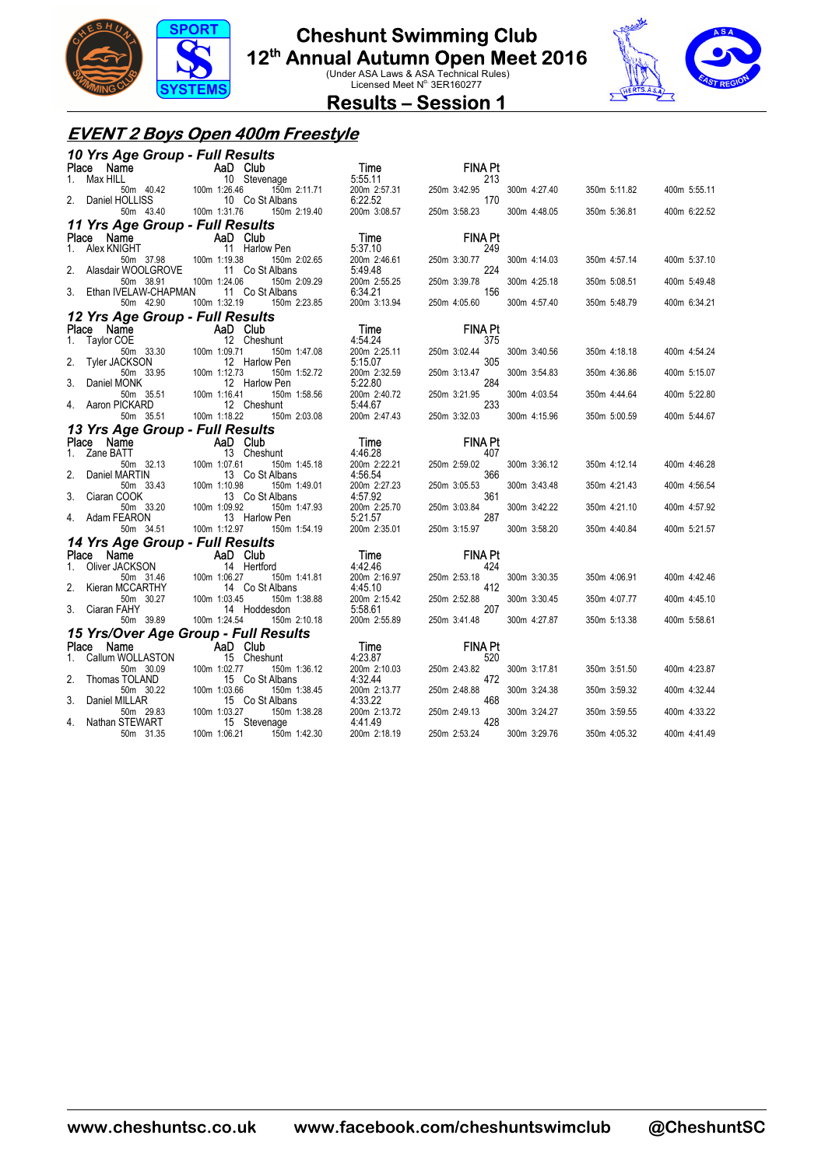

## **Cheshunt Swimming Club**

**12<sup>th</sup> Annual Autumn Open Meet 2016**<br>Under ASA Laws & ASA Technical Rules)<br>Licensed Meet N<sup>o.</sup> 3ER160277



**Results – Session 1** 

#### **EVENT 2 Boys Open 400m Freestyle**

|    | 10 Yrs Age Group - Full Results                      |                                                  |                           |                       |              |              |              |
|----|------------------------------------------------------|--------------------------------------------------|---------------------------|-----------------------|--------------|--------------|--------------|
|    | Place Name                                           | AaD Club<br>10 Steve                             | Time                      | <b>FINA Pt</b>        |              |              |              |
|    | Max HILL                                             | 10 Stevenage                                     |                           | 213                   |              |              |              |
|    |                                                      | 150m 2:11.71                                     | $5.55.11$<br>200m 2:57.31 | 250m 3:42.95          | 300m 4:27.40 | 350m 5:11.82 | 400m 5:55.11 |
|    | Daniel HOLLISS<br>50m 43.40                          | 10 Co St Albans<br>100m 1:31.76<br>150m 2:19.40  | 200m 3:08.57              | 170<br>250m 3:58.23   | 300m 4:48.05 | 350m 5:36.81 | 400m 6:22.52 |
|    |                                                      |                                                  |                           |                       |              |              |              |
|    | 11 Yrs Age Group - Full Results                      | AaD Club                                         | Time                      | <b>FINA Pt</b>        |              |              |              |
|    | Place<br>Name<br>1. Alex KNIGHT                      | 11 Harlow Pen                                    | 5:37.10                   | 249                   |              |              |              |
|    | 50m 37.98                                            | 100m 1:19.38<br>150m 2:02.65                     | 200m 2:46.61              | 250m 3:30.77          | 300m 4:14.03 | 350m 4:57.14 | 400m 5:37.10 |
|    | Alasdair WOOLGROVE                                   | 11 Co St Albans                                  | 5:49.48                   | 224                   |              |              |              |
|    | 50m 38.91                                            | 100m 1:24.06<br>150m 2:09.29                     | 200m 2:55.25              | 250m 3:39.78          | 300m 4:25.18 | 350m 5:08.51 | 400m 5:49.48 |
|    | Ethan IVELAW-CHAPMAN                                 | 11 Co St Albans                                  | 6:34.21                   | 156                   |              |              |              |
|    | 50m 42.90                                            | 100m 1:32.19<br>150m 2:23.85                     | 200m 3:13.94              | 250m 4:05.60          | 300m 4:57.40 | 350m 5:48.79 | 400m 6:34.21 |
|    | 12 Yrs Age Group - Full Results                      |                                                  |                           |                       |              |              |              |
| 1. | Place Name<br>Taylor COE                             | AaD Club<br>12 Cheshunt                          | Time<br>4:54.24           | <b>FINA Pt</b><br>375 |              |              |              |
|    | 50m 33.30                                            | 100m 1:09.71<br>150m 1:47.08                     | 200m 2:25.11              | 250m 3:02.44          | 300m 3:40.56 | 350m 4:18.18 | 400m 4:54.24 |
| 2. | Tyler JACKSON                                        | 12 Harlow Pen                                    | 5:15.07                   | 305                   |              |              |              |
|    | 50m 33.95                                            | 100m 1:12.73<br>150m 1:52.72                     | 200m 2:32.59              | 250m 3:13.47          | 300m 3:54.83 | 350m 4:36.86 | 400m 5:15.07 |
| 3. | Daniel MONK                                          | 12 Harlow Pen                                    | 5:22.80                   | 284                   |              |              |              |
|    | 50m 35.51<br>Aaron PICKARD                           | 100m 1:16.41<br>150m 1:58.56<br>12 Cheshunt      | 200m 2:40.72<br>5:44.67   | 250m 3:21.95<br>233   | 300m 4:03.54 | 350m 4:44.64 | 400m 5:22.80 |
|    | 50m 35.51                                            | 100m 1:18.22<br>150m 2:03.08                     | 200m 2:47.43              | 250m 3:32.03          | 300m 4:15.96 | 350m 5:00.59 | 400m 5:44.67 |
|    | 13 Yrs Age Group - Full Results                      |                                                  |                           |                       |              |              |              |
|    | Place Name                                           | AaD Club                                         | Time                      | <b>FINA Pt</b>        |              |              |              |
|    | 1. Zane BATT                                         | 13 Cheshunt                                      | 4:46.28                   | 407                   |              |              |              |
|    | 50m 32.13                                            | 100m 1:07.61<br>150m 1:45.18                     | 200m 2:22.21              | 250m 2:59.02          | 300m 3:36.12 | 350m 4:12.14 | 400m 4:46.28 |
| 2. | Daniel MARTIN<br>50m 33.43                           | 13 Co St Albans<br>100m 1:10.98<br>150m 1:49.01  | 4:56.54<br>200m 2:27.23   | 366<br>250m 3:05.53   | 300m 3:43.48 | 350m 4:21.43 | 400m 4:56.54 |
| 3. | Ciaran COOK                                          | 13 Co St Albans                                  | 4:57.92                   | 361                   |              |              |              |
|    | 50m 33.20                                            | 100m 1:09.92<br>150m 1:47.93                     | 200m 2:25.70              | 250m 3:03.84          | 300m 3:42.22 | 350m 4:21.10 | 400m 4:57.92 |
|    | Adam FEARON                                          | 13 Harlow Pen                                    | 5:21.57                   | 287                   |              |              |              |
|    | 50m 34.51                                            | 100m 1:12.97<br>150m 1:54.19                     | 200m 2:35.01              | 250m 3:15.97          | 300m 3:58.20 | 350m 4:40.84 | 400m 5:21.57 |
|    | 14 Yrs Age Group - Full Results                      |                                                  |                           |                       |              |              |              |
|    | Place Name<br><b>Place Name</b><br>1. Oliver JACKSON | AaD Club<br>14 Hertford                          | Time<br>4:42.46           | <b>FINA Pt</b><br>424 |              |              |              |
|    | 50m 31.46                                            | 100m 1:06.27<br>150m 1:41.81                     | 200m 2:16.97              | 250m 2:53.18          | 300m 3:30.35 | 350m 4:06.91 | 400m 4:42.46 |
|    | Kieran MCCARTHY                                      | 14 Co St Albans                                  | 4:45.10                   | 412                   |              |              |              |
|    | 50m 30.27                                            | 100m 1:03.45<br>150m 1:38.88                     | 200m 2:15.42              | 250m 2:52.88          | 300m 3:30.45 | 350m 4:07.77 | 400m 4:45.10 |
|    | Ciaran FAHY                                          | 14 Hoddesdon                                     | 5:58.61                   | 207                   |              |              |              |
|    | 50m 39.89                                            | 100m 1:24.54<br>150m 2:10.18                     | 200m 2:55.89              | 250m 3:41.48          | 300m 4:27.87 | 350m 5:13.38 | 400m 5:58.61 |
|    | Place Name                                           | 15 Yrs/Over Age Group - Full Results<br>AaD Club | Time                      | <b>FINA Pt</b>        |              |              |              |
| 1. | Callum WOLLASTON                                     | 15 Cheshunt                                      | 4:23.87                   | 520                   |              |              |              |
|    | 50m 30.09                                            | 100m 1:02.77<br>150m 1:36.12                     | 200m 2:10.03              | 250m 2:43.82          | 300m 3:17.81 | 350m 3:51.50 | 400m 4:23.87 |
| 2. | Thomas TOLAND                                        | 15 Co St Albans                                  | 4:32.44                   | 472                   |              |              |              |
|    | 50m 30.22                                            | 100m 1:03.66<br>150m 1:38.45                     | 200m 2:13.77              | 250m 2:48.88          | 300m 3:24.38 | 350m 3:59.32 | 400m 4:32.44 |
| 3. | Daniel MILLAR<br>50m 29.83                           | 15 Co St Albans<br>100m 1:03.27<br>150m 1:38.28  | 4:33.22<br>200m 2:13.72   | 468<br>250m 2:49.13   | 300m 3:24.27 | 350m 3:59.55 | 400m 4:33.22 |
| 4. | Nathan STEWART                                       | 15 Stevenage                                     | 4:41.49                   | 428                   |              |              |              |
|    | 50m 31.35                                            | 150m 1:42.30<br>100m 1:06.21                     | 200m 2:18.19              | 250m 2:53.24          | 300m 3:29.76 | 350m 4:05.32 | 400m 4:41.49 |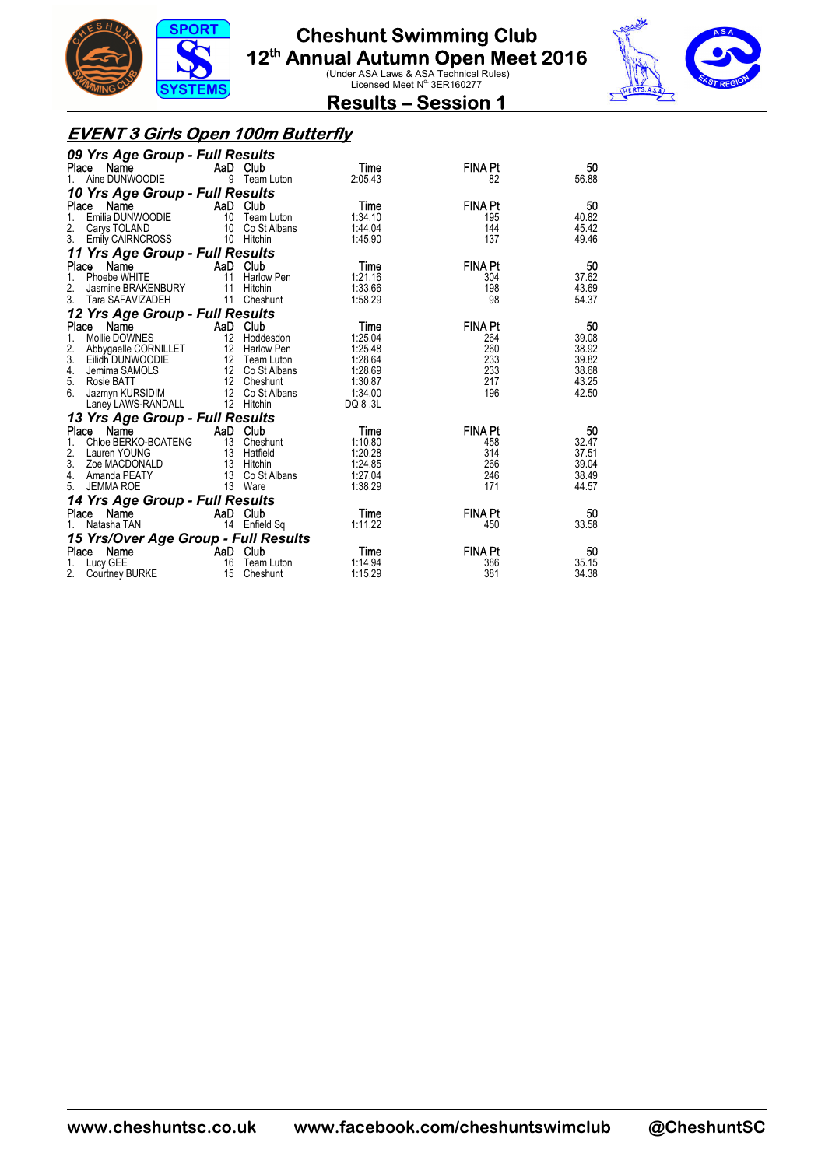



**Results – Session 1** 

#### **EVENT 3 Girls Open 100m Butterfly**

| 09 Yrs Age Group - Full Results      |          |                   |          |                |       |
|--------------------------------------|----------|-------------------|----------|----------------|-------|
| Place Name                           |          | AaD Club          | Time     | <b>FINA Pt</b> | 50    |
| Aine DUNWOODIE<br>$1_{-}$            |          | 9 Team Luton      | 2:05.43  | 82             | 56.88 |
| 10 Yrs Age Group - Full Results      |          |                   |          |                |       |
| Place<br>Name                        |          | AaD Club          | Time     | <b>FINA Pt</b> | 50    |
| Emilia DUNWOODIE<br>1.               | 10       | Team Luton        | 1:34.10  | 195            | 40.82 |
| 2.<br>Carys TOLAND                   | 10       | Co St Albans      | 1:44.04  | 144            | 45.42 |
| 3.<br>Emily CAIRNCROSS               |          | 10 Hitchin        | 1:45.90  | 137            | 49.46 |
| 11 Yrs Age Group - Full Results      |          |                   |          |                |       |
| Place Name                           | AaD Club |                   | Time     | <b>FINA Pt</b> | 50    |
| Phoebe WHITE<br>1.                   | 11       | <b>Harlow Pen</b> | 1:21.16  | 304            | 37.62 |
| 2.<br>Jasmine BRAKENBURY             | 11       | Hitchin           | 1:33.66  | 198            | 43.69 |
| 3.<br>Tara SAFAVIZADEH               | 11       | Cheshunt          | 1:58.29  | 98             | 54.37 |
| 12 Yrs Age Group - Full Results      |          |                   |          |                |       |
| Name<br>Place                        |          | AaD Club          | Time     | <b>FINA Pt</b> | 50    |
| Mollie DOWNES<br>1.                  |          | 12 Hoddesdon      | 1:25.04  | 264            | 39.08 |
| 2.<br>Abbygaelle CORNILLET           |          | 12 Harlow Pen     | 1:25.48  | 260            | 38.92 |
| 3.<br>Eilidh DUNWOODIE               |          | 12 Team Luton     | 1:28.64  | 233            | 39.82 |
| Jemima SAMOLS<br>4.                  |          | 12 Co St Albans   | 1:28.69  | 233            | 38.68 |
| 5.<br>Rosie BATT                     |          | 12 Cheshunt       | 1:30.87  | 217            | 43.25 |
| 6.<br>Jazmyn KURSIDIM                |          | 12 Co St Albans   | 1:34.00  | 196            | 42.50 |
| Laney LAWS-RANDALL                   |          | 12 Hitchin        | DQ 8 .3L |                |       |
| 13 Yrs Age Group - Full Results      |          |                   |          |                |       |
| Name<br>Place                        |          | AaD Club          | Time     | <b>FINA Pt</b> | 50    |
| Chloe BERKO-BOATENG<br>1.            |          | 13 Cheshunt       | 1:10.80  | 458            | 32.47 |
| 2.<br>Lauren YOUNG                   |          | 13 Hatfield       | 1:20.28  | 314            | 37.51 |
| 3.<br>Zoe MACDONALD                  |          | 13 Hitchin        | 1:24.85  | 266            | 39.04 |
| 4.<br>Amanda PEATY                   |          | 13 Co St Albans   | 1:27.04  | 246            | 38.49 |
| <b>JEMMA ROE</b><br>5.               |          | 13 Ware           | 1:38.29  | 171            | 44.57 |
| 14 Yrs Age Group - Full Results      |          |                   |          |                |       |
| Name<br>Place                        |          | AaD Club          | Time     | <b>FINA Pt</b> | 50    |
| Natasha TAN                          |          | 14 Enfield Sq     | 1:11.22  | 450            | 33.58 |
| 15 Yrs/Over Age Group - Full Results |          |                   |          |                |       |
| Place Name                           |          | AaD Club          | Time     | <b>FINA Pt</b> | 50    |
| Lucy GEE<br>1.                       | 16       | Team Luton        | 1:14.94  | 386            | 35.15 |
| 2.<br>Courtney BURKE                 | 15       | Cheshunt          | 1:15.29  | 381            | 34.38 |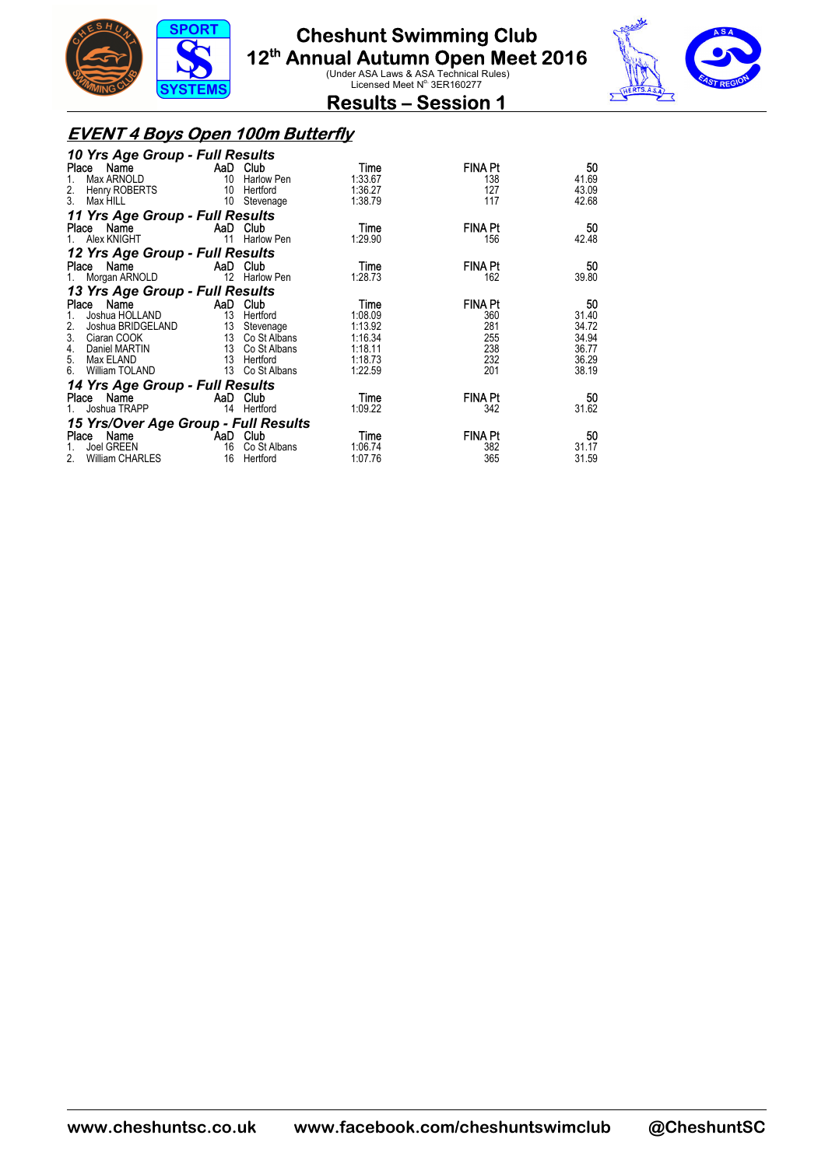



**Results – Session 1** 

#### **EVENT 4 Boys Open 100m Butterfly**

| 10 Yrs Age Group - Full Results                                    |                           |                 |         |                |       |
|--------------------------------------------------------------------|---------------------------|-----------------|---------|----------------|-------|
| Place Name<br><b>Example 2</b> AaD Club                            |                           |                 | Time    | <b>FINA Pt</b> | 50    |
| Max ARNOLD                                                         |                           | 10 Harlow Pen   | 1:33.67 | 138            | 41.69 |
| <b>Henry ROBERTS</b><br>2.                                         |                           | 10 Hertford     | 1:36.27 | 127            | 43.09 |
| 3.<br>Max HILL                                                     |                           | 10 Stevenage    | 1:38.79 | 117            | 42.68 |
| 11 Yrs Age Group - Full Results                                    |                           |                 |         |                |       |
| Place Name<br><b>Example 2</b> AaD Club                            |                           |                 | Time    | <b>FINA Pt</b> | 50    |
| Alex KNIGHT                                                        | 11                        | Harlow Pen      | 1:29.90 | 156            | 42.48 |
| 12 Yrs Age Group - Full Results                                    |                           |                 |         |                |       |
| Place Name                                                         |                           | AaD Club        | Time    | <b>FINA Pt</b> | 50    |
| 1. Morgan ARNOLD 12 Harlow Pen                                     |                           |                 | 1:28.73 | 162            | 39.80 |
| 13 Yrs Age Group - Full Results                                    |                           |                 |         |                |       |
| Name<br>Place                                                      | <b>Example 2</b> AaD Club |                 | Time    | <b>FINA Pt</b> | 50    |
| Joshua HOLLAND                                                     |                           | 13 Hertford     | 1:08.09 | 360            | 31.40 |
| 2.<br>Joshua BRIDGELAND 13 Stevenage<br>Ciaran COOK 13 Co St Albar |                           |                 | 1:13.92 | 281            | 34.72 |
| 3.<br>Ciaran COOK                                                  |                           | 13 Co St Albans | 1:16.34 | 255            | 34.94 |
| 4.<br>Daniel MARTIN                                                |                           | 13 Co St Albans | 1:18.11 | 238            | 36.77 |
| 5. Max ELAND                                                       | 13 Hertford               |                 | 1:18.73 | 232            | 36.29 |
| 6.<br>William TOLAND                                               |                           | 13 Co St Albans | 1:22.59 | 201            | 38.19 |
| 14 Yrs Age Group - Full Results                                    |                           |                 |         |                |       |
| Place Name                                                         | <b>AaD</b> Club           |                 | Time    | <b>FINA Pt</b> | 50    |
| Joshua TRAPP                                                       |                           | 14 Hertford     | 1:09.22 | 342            | 31.62 |
| 15 Yrs/Over Age Group - Full Results                               |                           |                 |         |                |       |
| Place Name AaD Club                                                |                           |                 | Time    | <b>FINA Pt</b> | 50    |
| Joel GREEN<br>1.                                                   |                           | 16 Co St Albans | 1:06.74 | 382            | 31.17 |
| William CHARLES<br>2.                                              |                           | 16 Hertford     | 1:07.76 | 365            | 31.59 |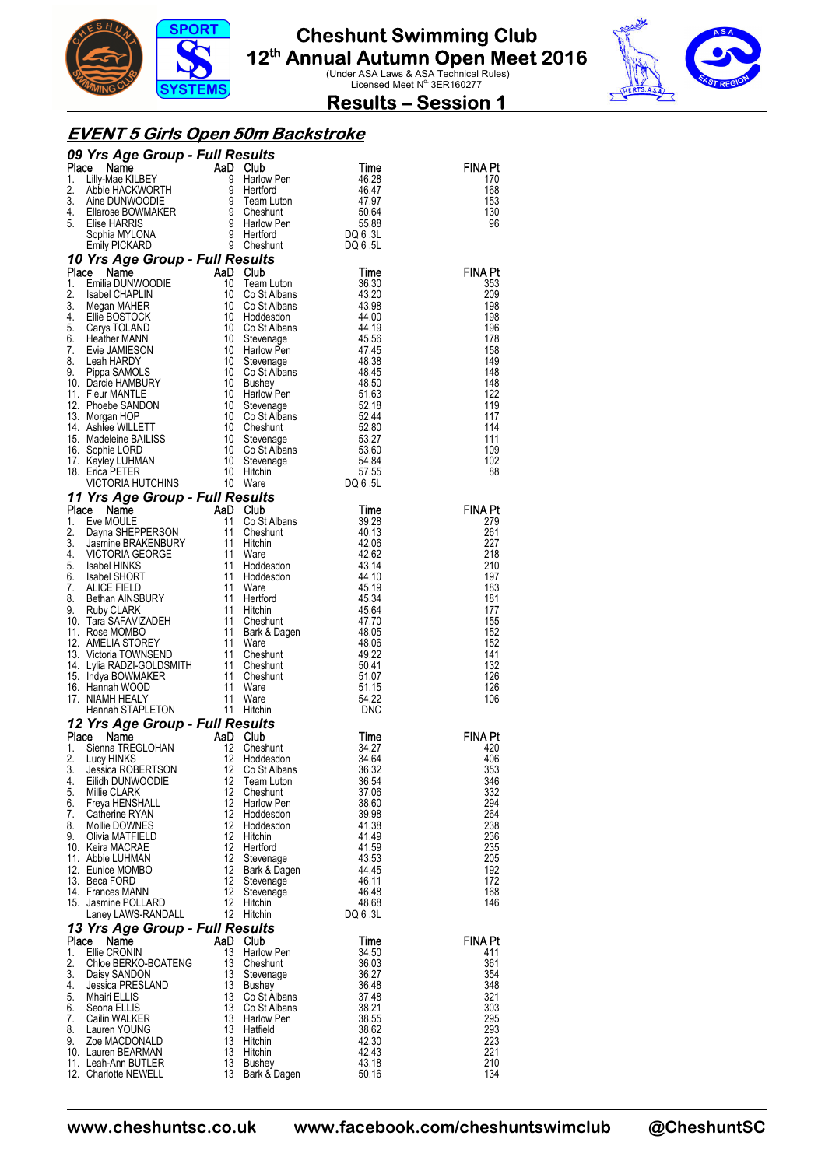



**Results – Session 1** 

#### **EVENT 5 Girls Open 50m Backstroke**

|          | <b>09 Yrs Age Group - Full Results<br/> 1.</b> Lilly-Mae KILBEY<br>1. Lilly-Mae KILBEY<br>3. Abbie HACKWORTH<br>3. Aine DUNWOODIE<br>4. Silarose BOWMAKER<br>5. Elise HARRIS<br>5. Sophia MYLONA<br>5. Clise HARRIS<br>5.88<br>Sophia MYLONA<br>5. Elise HA                                      |                   |                                                                  |                   |                |
|----------|--------------------------------------------------------------------------------------------------------------------------------------------------------------------------------------------------------------------------------------------------------------------------------------------------|-------------------|------------------------------------------------------------------|-------------------|----------------|
|          |                                                                                                                                                                                                                                                                                                  |                   |                                                                  |                   | FINA Pt<br>170 |
|          |                                                                                                                                                                                                                                                                                                  |                   |                                                                  |                   | 168            |
|          |                                                                                                                                                                                                                                                                                                  |                   |                                                                  |                   | 153            |
|          |                                                                                                                                                                                                                                                                                                  |                   |                                                                  |                   | 130<br>96      |
|          |                                                                                                                                                                                                                                                                                                  |                   |                                                                  |                   |                |
|          |                                                                                                                                                                                                                                                                                                  |                   |                                                                  |                   |                |
|          | 10 Yrs Age Group - Full Results<br><b>10 Yrs Age Group - Full Results</b><br>10 Yrs Age Group - Full Results<br>10 Time<br>2. Isabel CHAPLIN<br>2. Isabel CHAPLIN<br>2. Isabel CHAPLIN<br>10 Co St Albans<br>43.20<br>4.20<br>4.20<br>5. Carys TOLAND<br>5. Head DSTOCK<br>5. Carys TOLAND<br>5. |                   |                                                                  |                   |                |
|          |                                                                                                                                                                                                                                                                                                  |                   | e <i>sults</i><br>Club<br>Team Luton                             |                   | <b>FINA Pt</b> |
|          |                                                                                                                                                                                                                                                                                                  |                   |                                                                  |                   | 353<br>209     |
|          |                                                                                                                                                                                                                                                                                                  |                   |                                                                  |                   | 198            |
|          |                                                                                                                                                                                                                                                                                                  |                   |                                                                  |                   | 198            |
|          |                                                                                                                                                                                                                                                                                                  |                   |                                                                  |                   | 196<br>178     |
|          |                                                                                                                                                                                                                                                                                                  |                   |                                                                  |                   | 158            |
|          |                                                                                                                                                                                                                                                                                                  |                   |                                                                  |                   | 149            |
|          |                                                                                                                                                                                                                                                                                                  |                   |                                                                  |                   | 148<br>148     |
|          |                                                                                                                                                                                                                                                                                                  |                   |                                                                  |                   | 122            |
|          |                                                                                                                                                                                                                                                                                                  |                   |                                                                  |                   | 119            |
|          |                                                                                                                                                                                                                                                                                                  |                   |                                                                  |                   | 117<br>114     |
|          |                                                                                                                                                                                                                                                                                                  |                   |                                                                  |                   | 111            |
|          |                                                                                                                                                                                                                                                                                                  |                   |                                                                  |                   | 109            |
|          |                                                                                                                                                                                                                                                                                                  |                   |                                                                  |                   | 102<br>88      |
|          |                                                                                                                                                                                                                                                                                                  |                   |                                                                  |                   |                |
|          |                                                                                                                                                                                                                                                                                                  |                   |                                                                  |                   |                |
|          | 11 Yrs Age Group - Full Results<br>Place Name AaD Club<br>1. Eve MOULE 11 Co St Albans<br>2. Dayna SHEPPERSON<br>3. Jasmine BRAKENBURY 11 Hitchin<br>4. VICTORIA GEORGE 11 Ware<br>5. Isabel HINKS 11 Hoddesdon<br>6. Isabel HINKS 11 Hoddes                                                     |                   | <b>Co St Albans</b><br>Cheshunt<br>Hitchin<br>Hoare<br>Hoddesdon |                   | <b>FINA Pt</b> |
|          |                                                                                                                                                                                                                                                                                                  |                   |                                                                  | 39.28<br>40.13    | 279<br>261     |
|          |                                                                                                                                                                                                                                                                                                  |                   |                                                                  | 42.06             | 227            |
|          |                                                                                                                                                                                                                                                                                                  |                   |                                                                  | 42.62             | 218            |
|          |                                                                                                                                                                                                                                                                                                  |                   | Hoddesdon<br>Hoddesdon                                           | 43.14<br>44.10    | 210<br>197     |
|          |                                                                                                                                                                                                                                                                                                  |                   |                                                                  | 45.19             | 183            |
|          |                                                                                                                                                                                                                                                                                                  |                   |                                                                  | 45.34             | 181            |
|          |                                                                                                                                                                                                                                                                                                  |                   |                                                                  | 45.64             | 177<br>155     |
|          |                                                                                                                                                                                                                                                                                                  |                   | Bark & Dagen<br>Ware                                             | 47.70<br>48.05    | 152            |
|          |                                                                                                                                                                                                                                                                                                  |                   |                                                                  | 48.06             | 152            |
|          |                                                                                                                                                                                                                                                                                                  |                   |                                                                  | 49.22<br>50.41    | 141<br>132     |
|          |                                                                                                                                                                                                                                                                                                  |                   |                                                                  | 51.07             | 126            |
|          |                                                                                                                                                                                                                                                                                                  |                   |                                                                  | 51.15             | 126            |
|          |                                                                                                                                                                                                                                                                                                  |                   |                                                                  | 54.22             | 106            |
|          |                                                                                                                                                                                                                                                                                                  |                   |                                                                  | DNC               |                |
|          | 12 Yrs Age Group - Full Results<br>Place Name                                                                                                                                                                                                                                                    |                   |                                                                  | Time              | <b>FINA Pt</b> |
| 1.       | <b>BE Name THE ABD Club</b><br>Sienna TREGLOHAN 12 Chest<br>Lucy HINKS<br>Lessics PORERTSON 12 Co. St                                                                                                                                                                                            |                   | Cheshunt                                                         | 34.27             | 420            |
| 2.       |                                                                                                                                                                                                                                                                                                  |                   | Hoddesdon                                                        | 34.64             | 406            |
| 4.       | 3. Jessica ROBERTSON 12 Co St Albans<br>Eilidh DUNWOODIE                                                                                                                                                                                                                                         | 12                | Team Luton                                                       | 36.32<br>36.54    | 353<br>346     |
| 5.       | Millie CLARK                                                                                                                                                                                                                                                                                     | 12                | Cheshunt                                                         | 37.06             | 332            |
| 6.       | Freya HENSHALL                                                                                                                                                                                                                                                                                   | $12 \overline{ }$ | Harlow Pen                                                       | 38.60             | 294            |
| 7.<br>8. | Catherine RYAN<br>Mollie DOWNES                                                                                                                                                                                                                                                                  | 12<br>12          | Hoddesdon<br>Hoddesdon                                           | 39.98<br>41.38    | 264<br>238     |
| 9.       | Olivia MATFIELD                                                                                                                                                                                                                                                                                  | $12 \overline{ }$ | Hitchin                                                          | 41.49             | 236            |
|          | 10. Keira MACRAE                                                                                                                                                                                                                                                                                 | 12<br>12          | Hertford                                                         | 41.59             | 235            |
|          | 11. Abbie LUHMAN<br>12. Eunice MOMBO                                                                                                                                                                                                                                                             | $12 \overline{ }$ | Stevenage<br>Bark & Dagen                                        | 43.53<br>44.45    | 205<br>192     |
|          | 13. Beca FORD                                                                                                                                                                                                                                                                                    | 12                | Stevenage                                                        | 46.11             | 172            |
|          | 14. Frances MANN                                                                                                                                                                                                                                                                                 | 12                | Stevenage                                                        | 46.48             | 168            |
|          | 15. Jasmine POLLARD<br>Laney LAWS-RANDALL                                                                                                                                                                                                                                                        | $12 \overline{ }$ | Hitchin<br>12 Hitchin                                            | 48.68<br>DQ 6 .3L | 146            |
|          | 13 Yrs Age Group - Full Results                                                                                                                                                                                                                                                                  |                   |                                                                  |                   |                |
| Place    | Name                                                                                                                                                                                                                                                                                             | AaD Club          |                                                                  | Time              | <b>FINA Pt</b> |
| 1.       | Ellie CRONIN                                                                                                                                                                                                                                                                                     | 13                | Harlow Pen                                                       | 34.50             | 411            |
| 2.<br>3. | Chloe BERKO-BOATENG<br>Daisy SANDON                                                                                                                                                                                                                                                              | 13                | 13 Cheshunt<br>Stevenage                                         | 36.03<br>36.27    | 361<br>354     |
| 4.       | Jessica PRESLAND                                                                                                                                                                                                                                                                                 | 13                | Bushey                                                           | 36.48             | 348            |
| 5.       | Mhairi ELLIS                                                                                                                                                                                                                                                                                     | 13                | Co St Albans                                                     | 37.48             | 321            |
| 6.<br>7. | Seona ELLIS<br>Cailin WALKER                                                                                                                                                                                                                                                                     | 13<br>13          | Co St Albans<br>Harlow Pen                                       | 38.21<br>38.55    | 303<br>295     |
| 8.       | Lauren YOUNG                                                                                                                                                                                                                                                                                     | 13                | Hatfield                                                         | 38.62             | 293            |
| 9.       | Zoe MACDONALD                                                                                                                                                                                                                                                                                    | 13                | Hitchin                                                          | 42.30             | 223            |
|          | 10. Lauren BEARMAN<br>11. Leah-Ann BUTLER                                                                                                                                                                                                                                                        | 13<br>13          | Hitchin<br>Bushey                                                | 42.43<br>43.18    | 221<br>210     |
|          | 12. Charlotte NEWELL                                                                                                                                                                                                                                                                             | 13                | Bark & Dagen                                                     | 50.16             | 134            |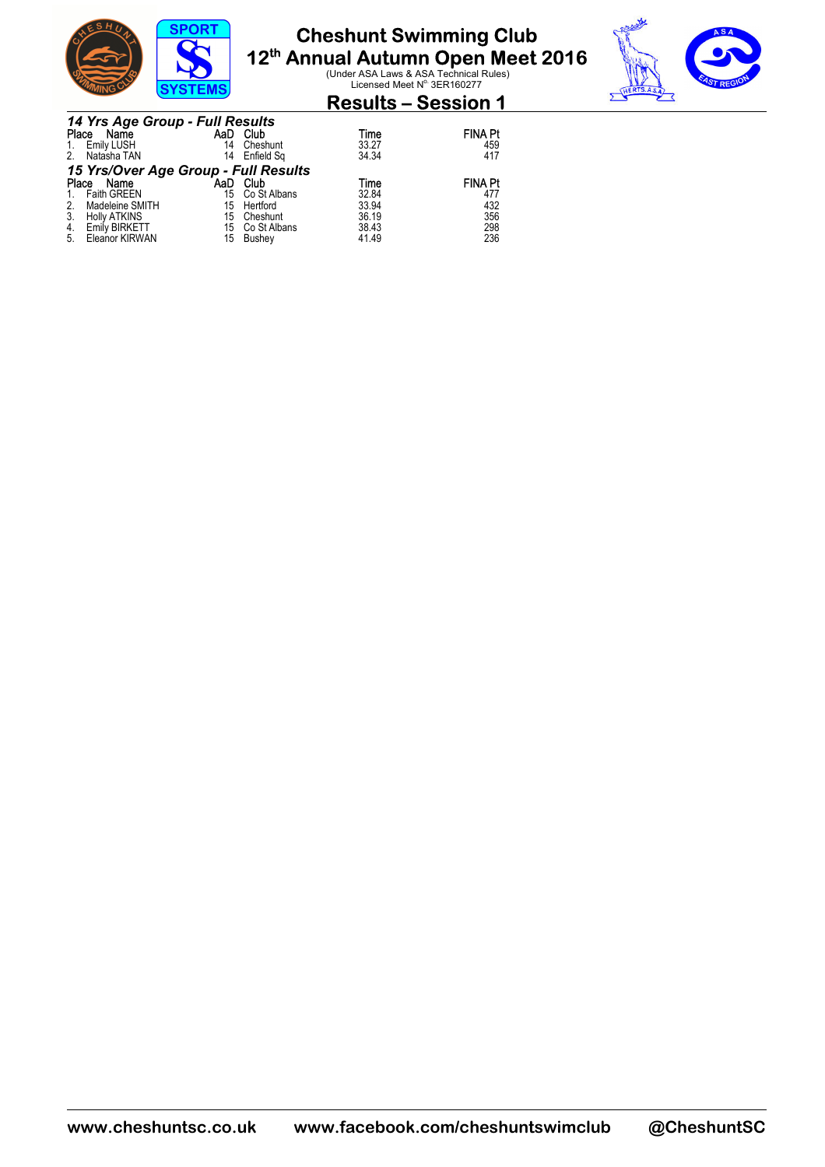



### **Results – Session 1**

|       | 14 Yrs Age Group - Full Results      |     |                 |       |                |
|-------|--------------------------------------|-----|-----------------|-------|----------------|
| Place | Name                                 | AaD | Club            | Time  | <b>FINA Pt</b> |
|       | Emily LUSH                           | 14  | Cheshunt        | 33.27 | 459            |
| 2.    | Natasha TAN                          | 14  | Enfield Sq      | 34.34 | 417            |
|       | 15 Yrs/Over Age Group - Full Results |     |                 |       |                |
| Place | Name                                 | AaD | Club            | Time  | <b>FINA Pt</b> |
|       | <b>Faith GREEN</b>                   |     | 15 Co St Albans | 32.84 | 477            |
|       | Madeleine SMITH                      |     | 15 Hertford     | 33.94 | 432            |
|       | <b>Holly ATKINS</b>                  | 15  | Cheshunt        | 36.19 | 356            |
| 4.    | <b>Emily BIRKETT</b>                 |     | 15 Co St Albans | 38.43 | 298            |
| 5.    | Eleanor KIRWAN                       | 15  | Bushev          | 41.49 | 236            |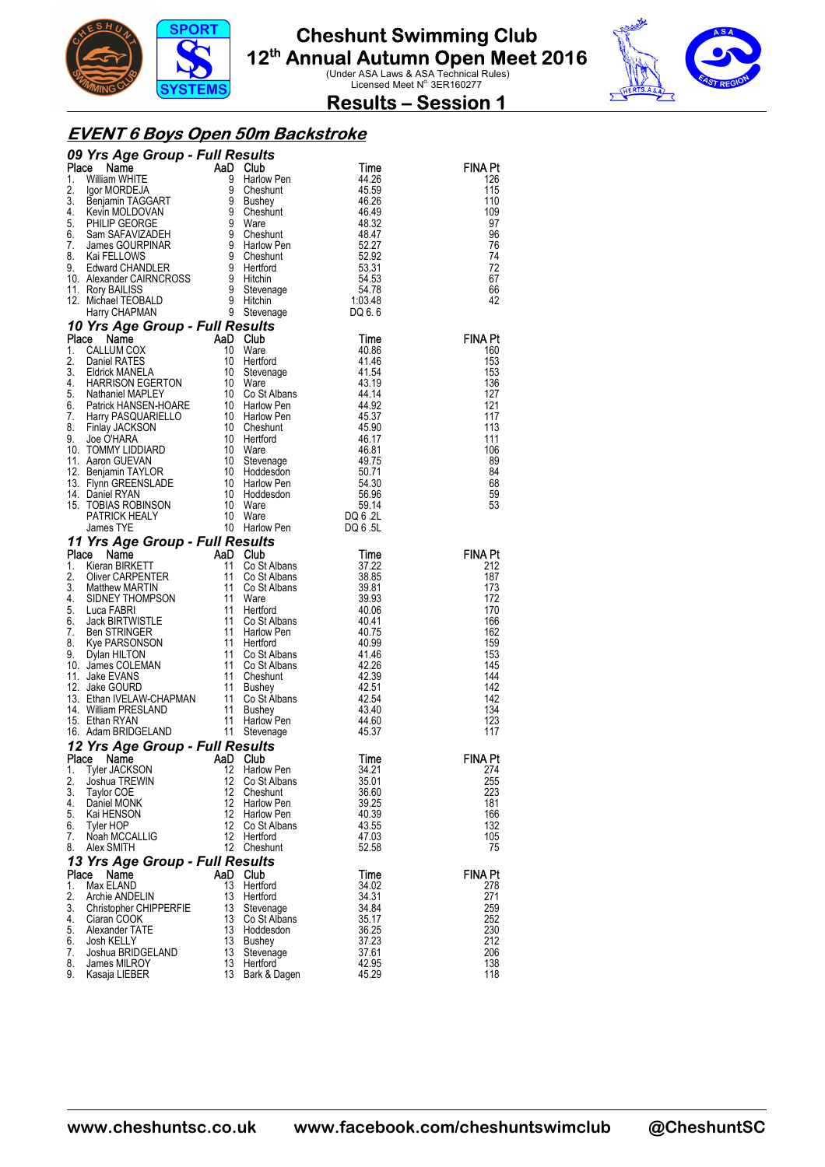



**Results – Session 1** 

#### **EVENT 6 Boys Open 50m Backstroke**

|          | <b>09 Yrs Arge Group - Full Results</b><br>19 Yrs Age Group - Full Results<br>1. William WHITE<br>1. William CRORECT and the control of the stress of the stress of the stress of the stress of the stress of the stress of the stress of |                       |                           |                |                       |
|----------|-------------------------------------------------------------------------------------------------------------------------------------------------------------------------------------------------------------------------------------------|-----------------------|---------------------------|----------------|-----------------------|
|          |                                                                                                                                                                                                                                           |                       |                           |                | <b>FINA Pt</b>        |
|          |                                                                                                                                                                                                                                           |                       |                           |                | 126                   |
|          |                                                                                                                                                                                                                                           |                       |                           |                | 115                   |
|          |                                                                                                                                                                                                                                           |                       |                           |                | 110<br>109            |
|          |                                                                                                                                                                                                                                           |                       |                           |                | 97                    |
|          |                                                                                                                                                                                                                                           |                       |                           |                | 96                    |
|          |                                                                                                                                                                                                                                           |                       |                           |                | 76                    |
|          |                                                                                                                                                                                                                                           |                       |                           |                | 74                    |
|          |                                                                                                                                                                                                                                           |                       |                           |                | 72                    |
|          |                                                                                                                                                                                                                                           |                       |                           |                | 67<br>66              |
|          |                                                                                                                                                                                                                                           |                       |                           |                | 42                    |
|          |                                                                                                                                                                                                                                           |                       |                           |                |                       |
|          |                                                                                                                                                                                                                                           |                       |                           |                |                       |
|          |                                                                                                                                                                                                                                           |                       |                           |                | <b>FINA Pt</b>        |
|          |                                                                                                                                                                                                                                           |                       |                           |                | 160                   |
|          |                                                                                                                                                                                                                                           |                       |                           |                | 153                   |
|          |                                                                                                                                                                                                                                           |                       |                           |                | 153                   |
|          |                                                                                                                                                                                                                                           |                       |                           |                | 136<br>127            |
|          |                                                                                                                                                                                                                                           |                       |                           |                | 121                   |
|          |                                                                                                                                                                                                                                           |                       |                           |                | 117                   |
|          |                                                                                                                                                                                                                                           |                       |                           |                | 113                   |
|          |                                                                                                                                                                                                                                           |                       |                           |                | 111                   |
|          |                                                                                                                                                                                                                                           |                       |                           |                | 106                   |
|          |                                                                                                                                                                                                                                           |                       |                           |                | 89<br>84              |
|          |                                                                                                                                                                                                                                           |                       |                           |                | 68                    |
|          |                                                                                                                                                                                                                                           |                       |                           |                | 59                    |
|          |                                                                                                                                                                                                                                           |                       |                           |                | 53                    |
|          |                                                                                                                                                                                                                                           |                       |                           |                |                       |
|          |                                                                                                                                                                                                                                           |                       |                           |                |                       |
|          |                                                                                                                                                                                                                                           |                       |                           |                |                       |
|          |                                                                                                                                                                                                                                           |                       |                           |                | <b>FINA Pt</b><br>212 |
|          |                                                                                                                                                                                                                                           |                       |                           |                | 187                   |
|          |                                                                                                                                                                                                                                           |                       |                           |                | 173                   |
|          |                                                                                                                                                                                                                                           |                       |                           |                | 172                   |
|          |                                                                                                                                                                                                                                           |                       |                           |                | 170                   |
|          |                                                                                                                                                                                                                                           |                       |                           |                | 166                   |
|          |                                                                                                                                                                                                                                           |                       |                           |                | 162<br>159            |
|          |                                                                                                                                                                                                                                           |                       |                           |                | 153                   |
|          |                                                                                                                                                                                                                                           |                       |                           |                | 145                   |
|          |                                                                                                                                                                                                                                           |                       |                           |                | 144                   |
|          |                                                                                                                                                                                                                                           |                       |                           |                | 142                   |
|          |                                                                                                                                                                                                                                           |                       |                           |                | 142                   |
|          |                                                                                                                                                                                                                                           |                       |                           |                | 134<br>123            |
|          |                                                                                                                                                                                                                                           |                       |                           |                | 117                   |
|          |                                                                                                                                                                                                                                           |                       |                           |                |                       |
|          | 12 Yrs Age Group - Full Results<br>Place Name AaD Club                                                                                                                                                                                    |                       |                           | Time           | <b>FINA Pt</b>        |
| 1.       | <b>Tyler JACKSON</b>                                                                                                                                                                                                                      |                       | 12 Harlow Pen             | 34.21          | 274                   |
| 2.       | Joshua TREWIN                                                                                                                                                                                                                             | 12                    | Co St Albans              | 35.01          | 255                   |
| 3.       | <b>Taylor COE</b>                                                                                                                                                                                                                         | 12                    | Cheshunt                  | 36.60          | 223                   |
| 4.<br>5. | Daniel MONK<br>Kai HENSON                                                                                                                                                                                                                 | 12 <sup>°</sup><br>12 | Harlow Pen<br>Harlow Pen  | 39.25<br>40.39 | 181<br>166            |
| 6.       | Tyler HOP                                                                                                                                                                                                                                 | 12                    | Co St Albans              | 43.55          | 132                   |
| 7.       | Noah MCCALLIG                                                                                                                                                                                                                             |                       | 12 Hertford               | 47.03          | 105                   |
| 8.       | Alex SMITH                                                                                                                                                                                                                                |                       | 12 Cheshunt               | 52.58          | 75                    |
|          | 13 Yrs Age Group - Full Results                                                                                                                                                                                                           |                       |                           |                |                       |
| Place    | Name                                                                                                                                                                                                                                      |                       | AaD Club                  | Time           | <b>FINA Pt</b>        |
| 1.       | Max ELAND                                                                                                                                                                                                                                 | 13                    | Hertford                  | 34.02          | 278                   |
| 2.       | Archie ANDELIN                                                                                                                                                                                                                            | 13                    | Hertford                  | 34.31          | 271                   |
| 3.<br>4. | Christopher CHIPPERFIE<br>Ciaran COOK                                                                                                                                                                                                     | 13<br>13              | Stevenage<br>Co St Albans | 34.84<br>35.17 | 259<br>252            |
| 5.       | Alexander TATE                                                                                                                                                                                                                            | 13                    | Hoddesdon                 | 36.25          | 230                   |
| 6.       | Josh KELLY                                                                                                                                                                                                                                | 13                    | Bushey                    | 37.23          | 212                   |
| 7.       | Joshua BRIDGELAND                                                                                                                                                                                                                         | 13                    | Stevenage                 | 37.61          | 206                   |
| 8.       | James MILROY                                                                                                                                                                                                                              | 13                    | Hertford                  | 42.95          | 138                   |
| 9.       | Kasaja LIEBER                                                                                                                                                                                                                             | 13                    | Bark & Dagen              | 45.29          | 118                   |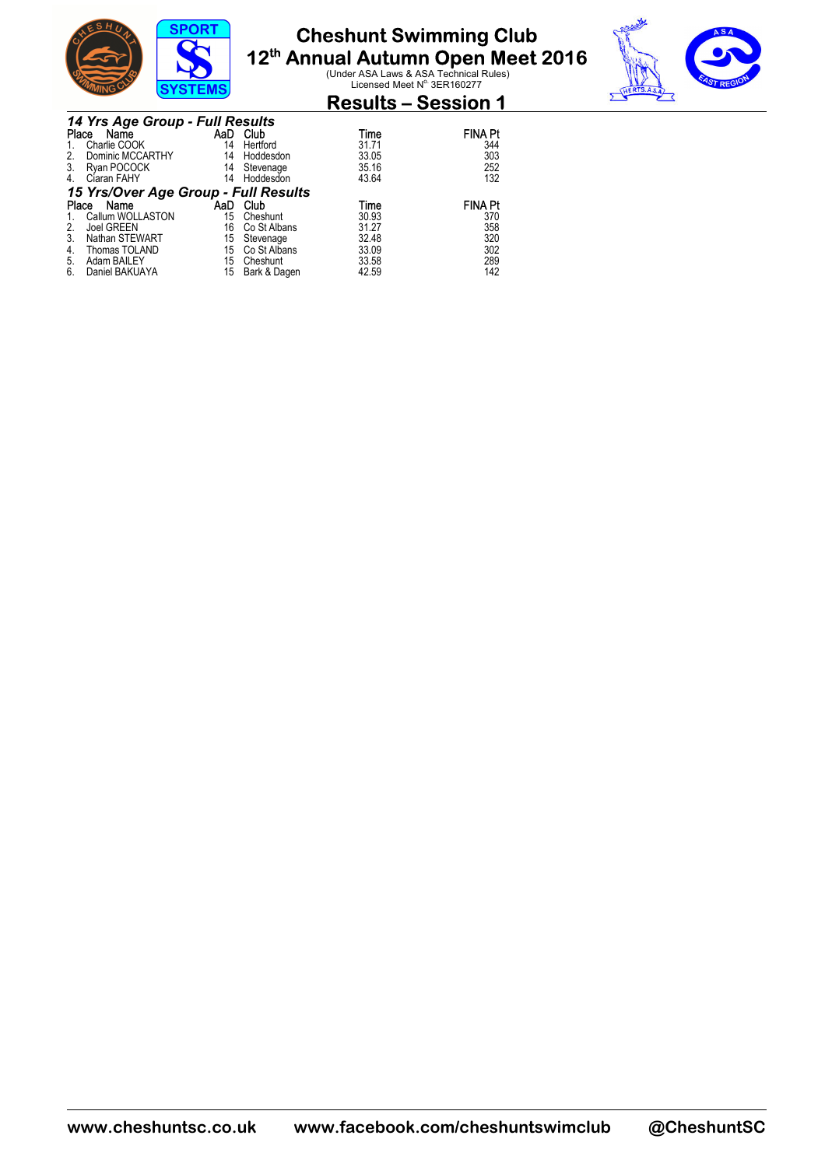



### **Results – Session 1**

|       | 14 Yrs Age Group - Full Results      |     |              |       |                |
|-------|--------------------------------------|-----|--------------|-------|----------------|
| Place | Name                                 | AaD | Club         | Time  | <b>FINA Pt</b> |
|       | Charlie COOK                         | 14  | Hertford     | 31.71 | 344            |
| 2.    | Dominic MCCARTHY                     | 14  | Hoddesdon    | 33.05 | 303            |
| 3.    | Ryan POCOCK                          | 14  | Stevenage    | 35.16 | 252            |
| 4.    | Ciaran FAHY                          | 14  | Hoddesdon    | 43.64 | 132            |
|       | 15 Yrs/Over Age Group - Full Results |     |              |       |                |
| Place | Name                                 | AaD | Club         | Time  | <b>FINA Pt</b> |
|       | Callum WOLLASTON                     | 15  | Cheshunt     | 30.93 | 370            |
| 2.    | Joel GREEN                           | 16  | Co St Albans | 31.27 | 358            |
| 3.    | Nathan STEWART                       | 15  | Stevenage    | 32.48 | 320            |
| 4.    | Thomas TOLAND                        | 15  | Co St Albans | 33.09 | 302            |
| 5.    | Adam BAILEY                          | 15  | Cheshunt     | 33.58 | 289            |
| 6.    | Daniel BAKUAYA                       | 15  | Bark & Dagen | 42.59 | 142            |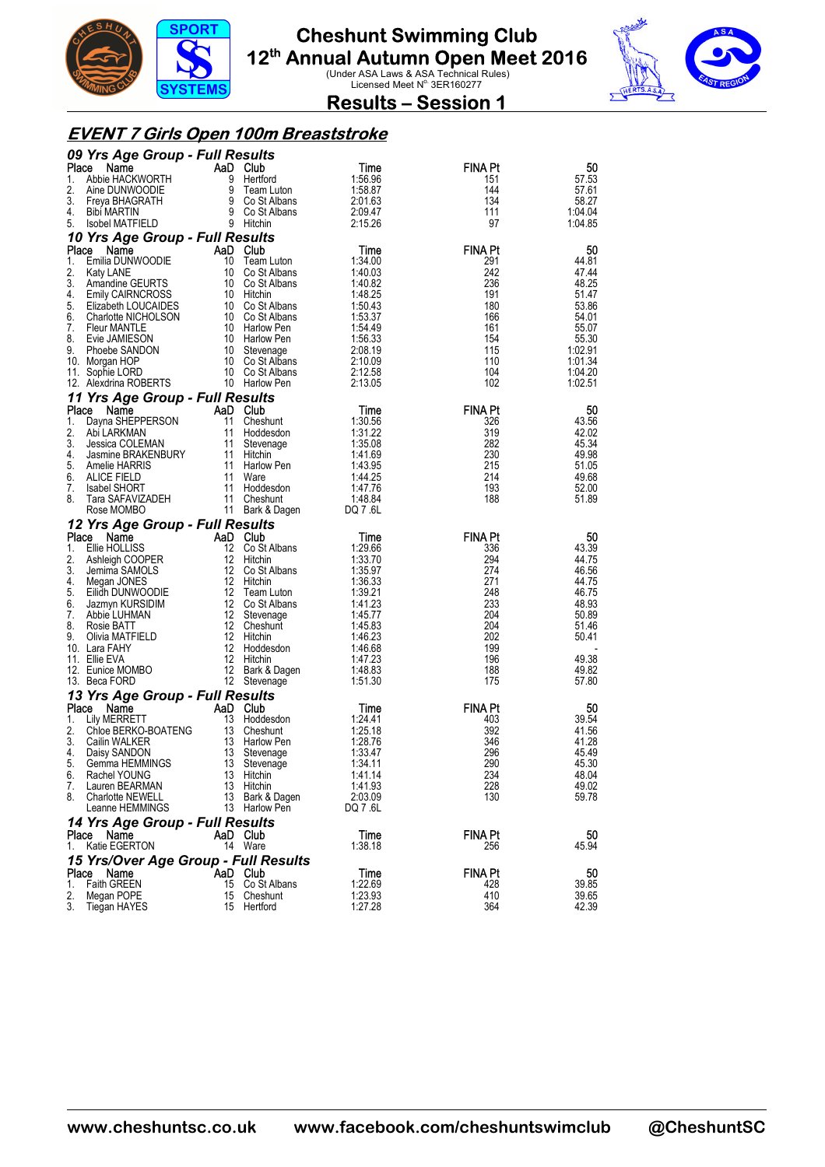



**Results – Session 1** 

#### **EVENT 7 Girls Open 100m Breaststroke**

|          | 09 Yrs Age Group - Full Results         |          |                                    |                    |                |                  |
|----------|-----------------------------------------|----------|------------------------------------|--------------------|----------------|------------------|
| Place    | Name                                    | AaD Club |                                    | Time               | FINA Pt        | 50               |
| 1.<br>2. | Abbie HACKWORTH<br>Aine DUNWOODIE       | 9        | Hertford<br>9 Team Luton           | 1:56.96            | 151<br>144     | 57.53            |
| 3.       | Freya BHAGRATH                          |          | 9 Team Luton<br>9 Co St Albans     | 1:58.87<br>2:01.63 | 134            | 57.61<br>58.27   |
| 4.       | Bibi MARTIN                             |          | 9 Co St Albans                     | 2:09.47            | 111            | 1:04.04          |
| 5.       | Isobel MATFIELD                         |          | 9 Hitchin                          | 2:15.26            | 97             | 1:04.85          |
|          | 10 Yrs Age Group - Full Results         |          |                                    |                    |                |                  |
| Place    | Name                                    |          | AaD Club                           | Time               | <b>FINA Pt</b> | 50               |
| 1.       | Emilia DUNWOODIE                        |          | 10 Team Luton                      | 1:34.00            | 291            | 44.81            |
| 2.<br>3. | Katy LANE<br>Amandine GEURTS            |          | 10 Co St Albans<br>10 Co St Albans | 1:40.03<br>1:40.82 | 242<br>236     | 47.44<br>48.25   |
| 4.       | <b>Emily CAIRNCROSS</b>                 |          | 10 Hitchin                         | 1:48.25            | 191            | 51.47            |
| 5.       | Elizabeth LOUCAIDES                     |          | 10 Co St Albans                    | 1:50.43            | 180            | 53.86            |
| 6.       | <b>Charlotte NICHOLSON</b>              |          | 10 Co St Albans                    | 1:53.37            | 166            | 54.01            |
| 7.       | <b>Fleur MANTLE</b>                     |          | 10 Harlow Pen                      | 1:54.49            | 161            | 55.07            |
| 8.<br>9. | Evie JAMIESON                           |          | 10 Harlow Pen                      | 1:56.33<br>2:08.19 | 154<br>115     | 55.30<br>1:02.91 |
|          | Phoebe SANDON<br>10. Morgan HOP         |          | 10 Stevenage<br>10 Co St Albans    | 2:10.09            | 110            | 1:01.34          |
|          | 11. Sophie LORD                         |          | 10 Co St Albans                    | 2:12.58            | 104            | 1:04.20          |
|          | 12. Alexdrina ROBERTS                   |          | 10 Harlow Pen                      | 2:13.05            | 102            | 1:02.51          |
|          | 11 Yrs Age Group - Full Results         |          |                                    |                    |                |                  |
| Place    | Name                                    |          | AaD Club                           | Time               | <b>FINA Pt</b> | 50               |
| 1.       | Dayna SHEPPERSON                        | 11       | Cheshunt                           | 1:30.56            | 326            | 43.56            |
| 2.<br>3. | Abi LARKMAN<br>Jessica COLEMAN          | 11<br>11 | Hoddesdon<br>Stevenage             | 1:31.22<br>1:35.08 | 319<br>282     | 42.02<br>45.34   |
| 4.       | Jasmine BRAKENBURY                      |          | 11 Hitchin                         | 1:41.69            | 230            | 49.98            |
| 5.       | Amelie HARRIS                           | 11       | Harlow Pen                         | 1:43.95            | 215            | 51.05            |
| 6.       | ALICE FIELD                             |          | 11 Ware                            | 1:44.25            | 214            | 49.68            |
| 7.       | <b>Isabel SHORT</b>                     |          | 11 Hoddesdon                       | 1:47.76            | 193            | 52.00            |
| 8.       | Tara SAFAVIZADEH<br>Rose MOMBO          | 11       | Cheshunt<br>11 Bark & Dagen        | 1:48.84<br>DQ 7.6L | 188            | 51.89            |
|          | 12 Yrs Age Group - Full Results         |          |                                    |                    |                |                  |
| Place    | Name                                    |          | AaD Club                           | Time               | <b>FINA Pt</b> | 50               |
| 1.       | Ellie HOLLISS                           |          | 12 Co St Albans                    | 1:29.66            | 336            | 43.39            |
| 2.       |                                         |          |                                    |                    |                |                  |
|          | Ashleigh COOPER                         |          | 12 Hitchin                         | 1:33.70            | 294            | 44.75            |
| 3.       | Jemima SAMOLS                           |          | 12 Co St Albans                    | 1:35.97            | 274            | 46.56            |
| 4.       | Megan JONES                             |          | 12 Hitchin                         | 1:36.33            | 271            | 44.75            |
| 5.       | Eilidh DUNWOODIE                        |          | 12 Team Luton                      | 1:39.21            | 248            | 46.75            |
| 6.       | Jazmyn KURSIDIM                         |          | 12 Co St Albans                    | 1:41.23            | 233            | 48.93            |
| 7.<br>8. | Abbie LUHMAN<br>Rosie BATT              | 12       | Stevenage<br>12 Cheshunt           | 1:45.77<br>1.45.83 | 204<br>204     | 50.89<br>51.46   |
| 9.       | Olivia MATFIELD                         |          | 12 Hitchin                         | 1:46.23            | 202            | 50.41            |
|          | 10. Lara FAHY                           |          | 12 Hoddesdon                       | 1:46.68            | 199            |                  |
|          | 11. Ellie EVA                           |          | 12 Hitchin                         | 1:47.23            | 196            | 49.38            |
|          | 12. Eunice MOMBO<br>13. Beca FORD       |          | 12 Bark & Dagen                    | 1:48.83<br>1:51.30 | 188<br>175     | 49.82<br>57.80   |
|          |                                         |          | 12 Stevenage                       |                    |                |                  |
| Place    | 13 Yrs Age Group - Full Results<br>Name |          | AaD Club                           | Time               | <b>FINA Pt</b> | 50               |
| 1.       | Lily MERRETT                            | 13       | Hoddesdon                          | 1:24.41            | 403            | 39.54            |
| 2.       | Chloe BERKO-BOATENG                     | 13       | Cheshunt                           | 1:25.18            | 392            | 41.56            |
| 3.       | Cailin WALKER                           | 13       | Harlow Pen                         | 1:28.76            | 346            | 41.28            |
| 4.<br>5. | Daisy SANDON<br>Gemma HEMMINGS          | 13<br>13 | Stevenage                          | 1:33.47<br>1:34.11 | 296<br>290     | 45.49<br>45.30   |
| 6.       | Rachel YOUNG                            | 13       | Stevenage<br>Hitchin               | 1:41.14            | 234            | 48.04            |
| 7.       | Lauren BEARMAN                          |          | 13 Hitchin                         | 1:41.93            | 228            | 49.02            |
| 8.       | <b>Charlotte NEWELL</b>                 | 13       | Bark & Dagen                       | 2:03.09            | 130            | 59.78            |
|          | Leanne HEMMINGS                         |          | 13 Harlow Pen                      | DQ 7.6L            |                |                  |
|          | 14 Yrs Age Group - Full Results         |          |                                    |                    |                |                  |
| 1.       | Place Name<br>Katie EGERTON             |          | AaD Club<br>14 Ware                | Time<br>1:38.18    | FINA Pt<br>256 | 50<br>45.94      |
|          | 15 Yrs/Over Age Group - Full Results    |          |                                    |                    |                |                  |
| Place    | Name                                    |          | AaD Club                           | Time               | <b>FINA Pt</b> | 50               |
| 1.<br>2. | <b>Faith GREEN</b><br>Megan POPE        |          | 15 Co St Albans<br>15 Cheshunt     | 1:22.69<br>1:23.93 | 428<br>410     | 39.85<br>39.65   |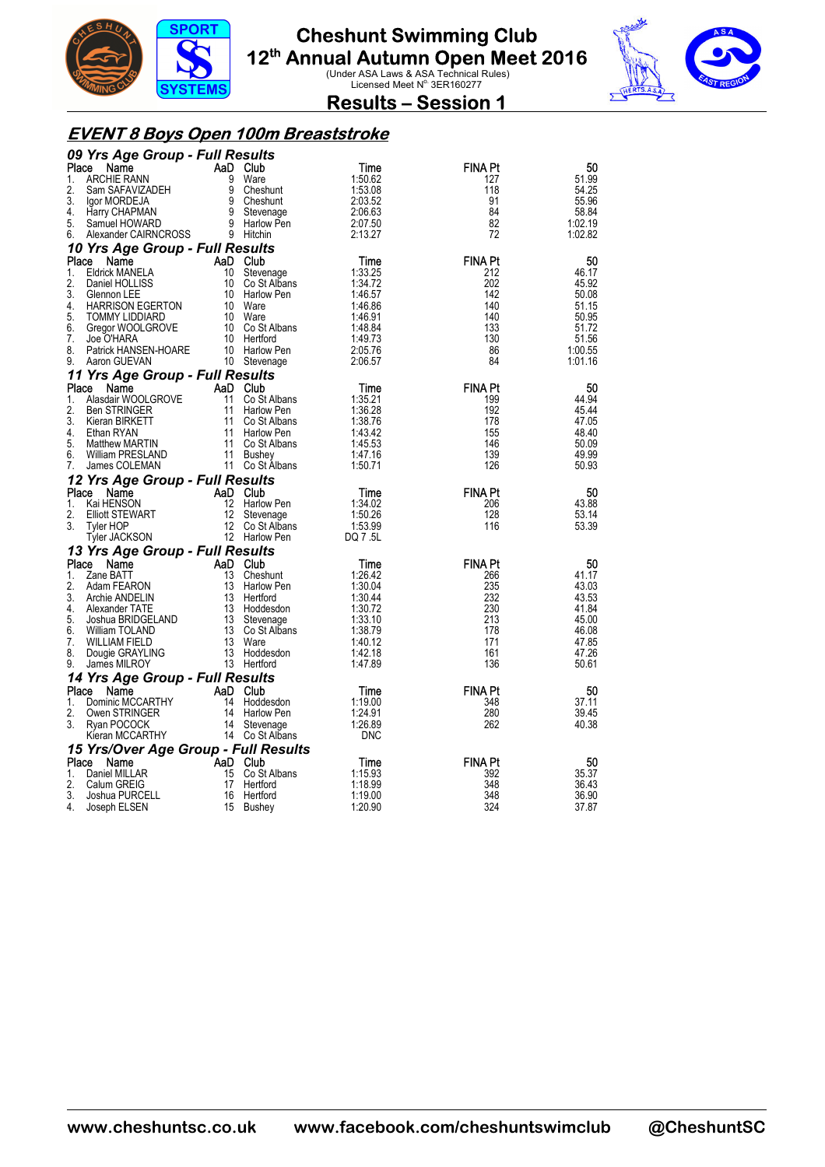



**Results – Session 1** 

#### **EVENT 8 Boys Open 100m Breaststroke**

|          | 09 Yrs Age Group - Full Results              |                              |                                                                                                                                                                                                                               |                    |                       |                |
|----------|----------------------------------------------|------------------------------|-------------------------------------------------------------------------------------------------------------------------------------------------------------------------------------------------------------------------------|--------------------|-----------------------|----------------|
| Place    | Name                                         |                              | AaD Club                                                                                                                                                                                                                      | Time               | <b>FINA Pt</b>        | 50             |
| 1.       | <b>ARCHIE RANN</b>                           |                              | 9 Ware                                                                                                                                                                                                                        | 1:50.62            | 127                   | 51.99          |
| 2.       | Sam SAFAVIZADEH                              |                              | 9 Cheshunt                                                                                                                                                                                                                    | 1:53.08            | 118                   | 54.25          |
| 3.       | lgor MORDEJA                                 |                              |                                                                                                                                                                                                                               | 2:03.52            | 91                    | 55.96          |
| 4.       | Harry CHAPMAN                                |                              | 9 Criesnunt<br>9 Cheshunt<br>9 Stevenage<br>9 Portal D                                                                                                                                                                        | 2:06.63            | 84                    | 58.84          |
| 5.       | Samuel HOWARD                                |                              | 9 Harlow Pen                                                                                                                                                                                                                  | 2:07.50            | 82                    | 1:02.19        |
| 6.       | Alexander CAIRNCROSS                         | $\overline{9}$ Hitchin       |                                                                                                                                                                                                                               | 2:13.27            | 72                    | 1:02.82        |
|          | 10 Yrs Age Group - Full Results              |                              |                                                                                                                                                                                                                               |                    |                       |                |
| Place    | Name                                         |                              | AaD Club                                                                                                                                                                                                                      | Time               | <b>FINA Pt</b>        | 50             |
| 1.       | Eldrick MANELA                               |                              | 10 Stevenage                                                                                                                                                                                                                  | 1:33.25            | 212                   | 46.17          |
| 2.       | Daniel HOLLISS                               |                              | 10 Co St Albans                                                                                                                                                                                                               | 1:34.72            | 202                   | 45.92          |
| 3.       | Glennon LEE                                  |                              | 10 Harlow Pen                                                                                                                                                                                                                 | 1:46.57            | 142                   | 50.08          |
| 4.       | HARRISON EGERTON                             |                              | 10 Ware                                                                                                                                                                                                                       | 1:46.86            | 140                   | 51.15          |
| 5.       | TOMMY LIDDIARD                               |                              | 10 Ware                                                                                                                                                                                                                       | 1:46.91            | 140                   | 50.95          |
| 6.       | Gregor WOOLGROVE 10 Co St Albans             |                              |                                                                                                                                                                                                                               | 1:48.84            | 133                   | 51.72          |
| 7.       | Joe O'HARA                                   |                              | 10 Hertford                                                                                                                                                                                                                   | 1:49.73            | 130                   | 51.56          |
| 8.       | Joe U HARA<br>Patrick HANSEN-HOARE           |                              | 10 Harlow Pen                                                                                                                                                                                                                 | 2:05.76            | 86                    | 1:00.55        |
| 9.       | Aaron GUEVAN                                 |                              |                                                                                                                                                                                                                               | 2:06.57            | 84                    | 1:01.16        |
|          | 11 Yrs Age Group - Full Results              |                              | Stevena<br>Full Results<br>ROVE<br>AAD Club<br>AAD Co St Alba<br>11 Co St Alban<br>11 Co St Alban<br>11 Co St Alban<br>11 Co St Alban<br>11 Co St Alban<br>11 Co St Alban<br>11 Busher<br>11 Busher<br>11 Pusher<br>11 Pusher |                    |                       |                |
| Place    | Name                                         |                              |                                                                                                                                                                                                                               | Time               | <b>FINA Pt</b>        | 50             |
| 1.       | Alasdair WOOLGROVE                           |                              | Co St Albans                                                                                                                                                                                                                  | 1:35.21            | 199                   | 44.94          |
| 2.       | Ben STRINGER                                 |                              |                                                                                                                                                                                                                               | 1:36.28            | 192                   | 45.44          |
| 3.       | Kieran BIRKETT                               |                              | Co St Albans                                                                                                                                                                                                                  | 1:38.76            | 178                   | 47.05          |
| 4.       | Ethan RYAN                                   |                              |                                                                                                                                                                                                                               | 1:43.42            | 155                   | 48.40          |
| 5.       | Matthew MARTIN                               |                              | 11 Co St Albans                                                                                                                                                                                                               | 1:45.53            | 146                   | 50.09          |
| 6.       | William PRESLAND                             |                              |                                                                                                                                                                                                                               | 1:47.16            | 139                   | 49.99          |
| 7.       | James COLEMAN                                |                              | 11 Co St Albans                                                                                                                                                                                                               | 1:50.71            | 126                   | 50.93          |
|          | 12 Yrs Age Group - Full Results              |                              |                                                                                                                                                                                                                               |                    |                       |                |
| Place    | Name                                         |                              | AaD Club                                                                                                                                                                                                                      | Time               | <b>FINA Pt</b>        | 50             |
| 1.       | Kai HENSON                                   | 12                           | Harlow Pen                                                                                                                                                                                                                    | 1:34.02            | 206                   | 43.88          |
| 2.<br>3. | <b>Elliott STEWART</b>                       | 12                           | Stevenage                                                                                                                                                                                                                     | 1:50.26            | 128<br>116            | 53.14          |
|          | Tyler HOP                                    |                              | 12 Co St Albans                                                                                                                                                                                                               |                    |                       |                |
|          |                                              |                              |                                                                                                                                                                                                                               | 1:53.99            |                       | 53.39          |
|          | Tyler JACKSON                                |                              | 12 Harlow Pen                                                                                                                                                                                                                 | DQ 7.5L            |                       |                |
|          | 13 Yrs Age Group - Full Results              |                              |                                                                                                                                                                                                                               |                    |                       |                |
| Place    | Name                                         |                              | AaD Club                                                                                                                                                                                                                      | Time               | <b>FINA Pt</b>        | 50             |
| 1.       | Zane BATT                                    | 13                           | Cheshunt                                                                                                                                                                                                                      | 1:26.42            | 266                   | 41.17          |
| 2.       | Adam FEARON                                  |                              | 13 Harlow Pen                                                                                                                                                                                                                 | 1:30.04            | 235                   | 43.03          |
| 3.       | Archie ANDELIN                               |                              | 13 Hertford                                                                                                                                                                                                                   | 1:30.44            | 232                   | 43.53          |
| 4.       | Alexander TATE                               |                              | 13 Hoddesdon                                                                                                                                                                                                                  | 1:30.72            | 230                   | 41.84          |
| 5.       | Joshua BRIDGELAND                            |                              | 13 Stevenage                                                                                                                                                                                                                  | 1:33.10            | 213                   | 45.00          |
| 6.       | William TOLAND                               |                              | 13 Co St Albans                                                                                                                                                                                                               | 1:38.79            | 178                   | 46.08          |
| 7.       | <b>WILLIAM FIELD</b>                         |                              | 13 Ware                                                                                                                                                                                                                       | 1:40.12            | 171                   | 47.85          |
| 8.<br>9. | Dougie GRAYLING<br>James MILROY              |                              | 13 Hoddesdon<br>13 Hertford                                                                                                                                                                                                   | 1:42.18<br>1:47.89 | 161<br>136            | 47.26<br>50.61 |
|          |                                              |                              |                                                                                                                                                                                                                               |                    |                       |                |
| Place    | 14 Yrs Age Group - Full Results<br>Name      |                              | AaD Club                                                                                                                                                                                                                      |                    |                       |                |
| 1.       | Dominic MCCARTHY                             |                              | 14 Hoddesdon                                                                                                                                                                                                                  | Time<br>1:19.00    | <b>FINA Pt</b><br>348 | 50<br>37.11    |
| 2.       | Owen STRINGER                                |                              | 14 Harlow Pen                                                                                                                                                                                                                 | 1:24.91            | 280                   | 39.45          |
| 3.       | Ryan POCOCK                                  |                              |                                                                                                                                                                                                                               | 1:26.89            | 262                   | 40.38          |
|          | Kieran MCCARTHY                              |                              | 14 Stevenage<br>14 Co St Albans                                                                                                                                                                                               | <b>DNC</b>         |                       |                |
|          |                                              |                              |                                                                                                                                                                                                                               |                    |                       |                |
| Place    | 15 Yrs/Over Age Group - Full Results<br>Name |                              |                                                                                                                                                                                                                               | Time               | <b>FINA Pt</b>        | 50             |
| 1.       | Daniel MILLAR                                |                              | Co St Albans                                                                                                                                                                                                                  | 1:15.93            | 392                   | 35.37          |
| 2.       | Calum GREIG                                  | $AaD$ Club<br>15 Co St<br>17 | Hertford                                                                                                                                                                                                                      | 1:18.99            | 348                   | 36.43          |
| 3.<br>4. | Joshua PURCELL<br>Joseph ELSEN               | 16<br>15                     | Hertford<br>Bushey                                                                                                                                                                                                            | 1:19.00<br>1:20.90 | 348<br>324            | 36.90<br>37.87 |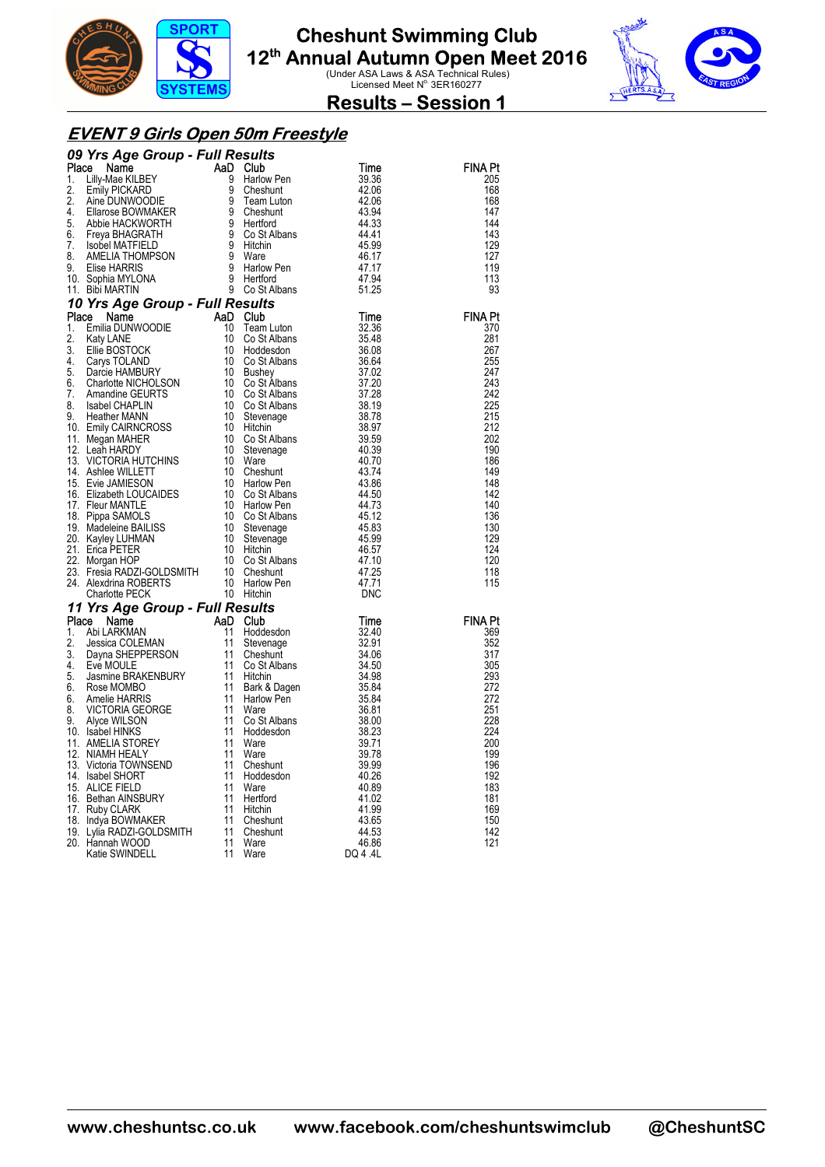



**Results – Session 1** 

#### **EVENT 9 Girls Open 50m Freestyle**

| 09 Yrs Agree Group - Full Results of the Mathway and Case (1990)<br>Place Name (1990) Halfows and Case (1991) Halfows and the second of the second of the second of the second of the second of the second of the second of the s<br><b>FINA Pt</b><br>205<br>168<br>168<br>147<br>144<br>143<br>129<br>127<br>119<br>113<br>93<br><b>FINA Pt</b><br>370<br>281<br>267<br>255<br>247<br>243<br>242<br>225<br>215<br>212<br>202<br>190<br>186<br>149<br>148<br>142<br>140<br>136<br>130<br>129<br>124<br>120<br>118<br>115<br><b>FINA Pt</b><br>369<br>352<br>317<br>305<br>293<br>272<br>272<br>251<br>228<br>224<br>200<br>199<br>196<br>192<br>183<br>181<br>169<br>150<br>142<br>121 |  |  |          |  |
|-----------------------------------------------------------------------------------------------------------------------------------------------------------------------------------------------------------------------------------------------------------------------------------------------------------------------------------------------------------------------------------------------------------------------------------------------------------------------------------------------------------------------------------------------------------------------------------------------------------------------------------------------------------------------------------------|--|--|----------|--|
|                                                                                                                                                                                                                                                                                                                                                                                                                                                                                                                                                                                                                                                                                         |  |  |          |  |
|                                                                                                                                                                                                                                                                                                                                                                                                                                                                                                                                                                                                                                                                                         |  |  |          |  |
|                                                                                                                                                                                                                                                                                                                                                                                                                                                                                                                                                                                                                                                                                         |  |  |          |  |
|                                                                                                                                                                                                                                                                                                                                                                                                                                                                                                                                                                                                                                                                                         |  |  |          |  |
|                                                                                                                                                                                                                                                                                                                                                                                                                                                                                                                                                                                                                                                                                         |  |  |          |  |
|                                                                                                                                                                                                                                                                                                                                                                                                                                                                                                                                                                                                                                                                                         |  |  |          |  |
|                                                                                                                                                                                                                                                                                                                                                                                                                                                                                                                                                                                                                                                                                         |  |  |          |  |
|                                                                                                                                                                                                                                                                                                                                                                                                                                                                                                                                                                                                                                                                                         |  |  |          |  |
|                                                                                                                                                                                                                                                                                                                                                                                                                                                                                                                                                                                                                                                                                         |  |  |          |  |
|                                                                                                                                                                                                                                                                                                                                                                                                                                                                                                                                                                                                                                                                                         |  |  |          |  |
|                                                                                                                                                                                                                                                                                                                                                                                                                                                                                                                                                                                                                                                                                         |  |  |          |  |
|                                                                                                                                                                                                                                                                                                                                                                                                                                                                                                                                                                                                                                                                                         |  |  |          |  |
|                                                                                                                                                                                                                                                                                                                                                                                                                                                                                                                                                                                                                                                                                         |  |  |          |  |
|                                                                                                                                                                                                                                                                                                                                                                                                                                                                                                                                                                                                                                                                                         |  |  |          |  |
|                                                                                                                                                                                                                                                                                                                                                                                                                                                                                                                                                                                                                                                                                         |  |  |          |  |
|                                                                                                                                                                                                                                                                                                                                                                                                                                                                                                                                                                                                                                                                                         |  |  |          |  |
|                                                                                                                                                                                                                                                                                                                                                                                                                                                                                                                                                                                                                                                                                         |  |  |          |  |
|                                                                                                                                                                                                                                                                                                                                                                                                                                                                                                                                                                                                                                                                                         |  |  |          |  |
|                                                                                                                                                                                                                                                                                                                                                                                                                                                                                                                                                                                                                                                                                         |  |  |          |  |
|                                                                                                                                                                                                                                                                                                                                                                                                                                                                                                                                                                                                                                                                                         |  |  |          |  |
|                                                                                                                                                                                                                                                                                                                                                                                                                                                                                                                                                                                                                                                                                         |  |  |          |  |
|                                                                                                                                                                                                                                                                                                                                                                                                                                                                                                                                                                                                                                                                                         |  |  |          |  |
|                                                                                                                                                                                                                                                                                                                                                                                                                                                                                                                                                                                                                                                                                         |  |  |          |  |
|                                                                                                                                                                                                                                                                                                                                                                                                                                                                                                                                                                                                                                                                                         |  |  |          |  |
|                                                                                                                                                                                                                                                                                                                                                                                                                                                                                                                                                                                                                                                                                         |  |  |          |  |
|                                                                                                                                                                                                                                                                                                                                                                                                                                                                                                                                                                                                                                                                                         |  |  |          |  |
|                                                                                                                                                                                                                                                                                                                                                                                                                                                                                                                                                                                                                                                                                         |  |  |          |  |
|                                                                                                                                                                                                                                                                                                                                                                                                                                                                                                                                                                                                                                                                                         |  |  |          |  |
|                                                                                                                                                                                                                                                                                                                                                                                                                                                                                                                                                                                                                                                                                         |  |  |          |  |
|                                                                                                                                                                                                                                                                                                                                                                                                                                                                                                                                                                                                                                                                                         |  |  |          |  |
|                                                                                                                                                                                                                                                                                                                                                                                                                                                                                                                                                                                                                                                                                         |  |  |          |  |
|                                                                                                                                                                                                                                                                                                                                                                                                                                                                                                                                                                                                                                                                                         |  |  |          |  |
|                                                                                                                                                                                                                                                                                                                                                                                                                                                                                                                                                                                                                                                                                         |  |  |          |  |
|                                                                                                                                                                                                                                                                                                                                                                                                                                                                                                                                                                                                                                                                                         |  |  |          |  |
|                                                                                                                                                                                                                                                                                                                                                                                                                                                                                                                                                                                                                                                                                         |  |  |          |  |
|                                                                                                                                                                                                                                                                                                                                                                                                                                                                                                                                                                                                                                                                                         |  |  |          |  |
|                                                                                                                                                                                                                                                                                                                                                                                                                                                                                                                                                                                                                                                                                         |  |  |          |  |
|                                                                                                                                                                                                                                                                                                                                                                                                                                                                                                                                                                                                                                                                                         |  |  |          |  |
|                                                                                                                                                                                                                                                                                                                                                                                                                                                                                                                                                                                                                                                                                         |  |  |          |  |
|                                                                                                                                                                                                                                                                                                                                                                                                                                                                                                                                                                                                                                                                                         |  |  |          |  |
|                                                                                                                                                                                                                                                                                                                                                                                                                                                                                                                                                                                                                                                                                         |  |  |          |  |
|                                                                                                                                                                                                                                                                                                                                                                                                                                                                                                                                                                                                                                                                                         |  |  |          |  |
|                                                                                                                                                                                                                                                                                                                                                                                                                                                                                                                                                                                                                                                                                         |  |  |          |  |
|                                                                                                                                                                                                                                                                                                                                                                                                                                                                                                                                                                                                                                                                                         |  |  |          |  |
|                                                                                                                                                                                                                                                                                                                                                                                                                                                                                                                                                                                                                                                                                         |  |  |          |  |
|                                                                                                                                                                                                                                                                                                                                                                                                                                                                                                                                                                                                                                                                                         |  |  |          |  |
|                                                                                                                                                                                                                                                                                                                                                                                                                                                                                                                                                                                                                                                                                         |  |  |          |  |
|                                                                                                                                                                                                                                                                                                                                                                                                                                                                                                                                                                                                                                                                                         |  |  |          |  |
|                                                                                                                                                                                                                                                                                                                                                                                                                                                                                                                                                                                                                                                                                         |  |  |          |  |
|                                                                                                                                                                                                                                                                                                                                                                                                                                                                                                                                                                                                                                                                                         |  |  |          |  |
|                                                                                                                                                                                                                                                                                                                                                                                                                                                                                                                                                                                                                                                                                         |  |  |          |  |
|                                                                                                                                                                                                                                                                                                                                                                                                                                                                                                                                                                                                                                                                                         |  |  |          |  |
|                                                                                                                                                                                                                                                                                                                                                                                                                                                                                                                                                                                                                                                                                         |  |  |          |  |
|                                                                                                                                                                                                                                                                                                                                                                                                                                                                                                                                                                                                                                                                                         |  |  |          |  |
|                                                                                                                                                                                                                                                                                                                                                                                                                                                                                                                                                                                                                                                                                         |  |  |          |  |
|                                                                                                                                                                                                                                                                                                                                                                                                                                                                                                                                                                                                                                                                                         |  |  |          |  |
|                                                                                                                                                                                                                                                                                                                                                                                                                                                                                                                                                                                                                                                                                         |  |  | DQ 4 .4L |  |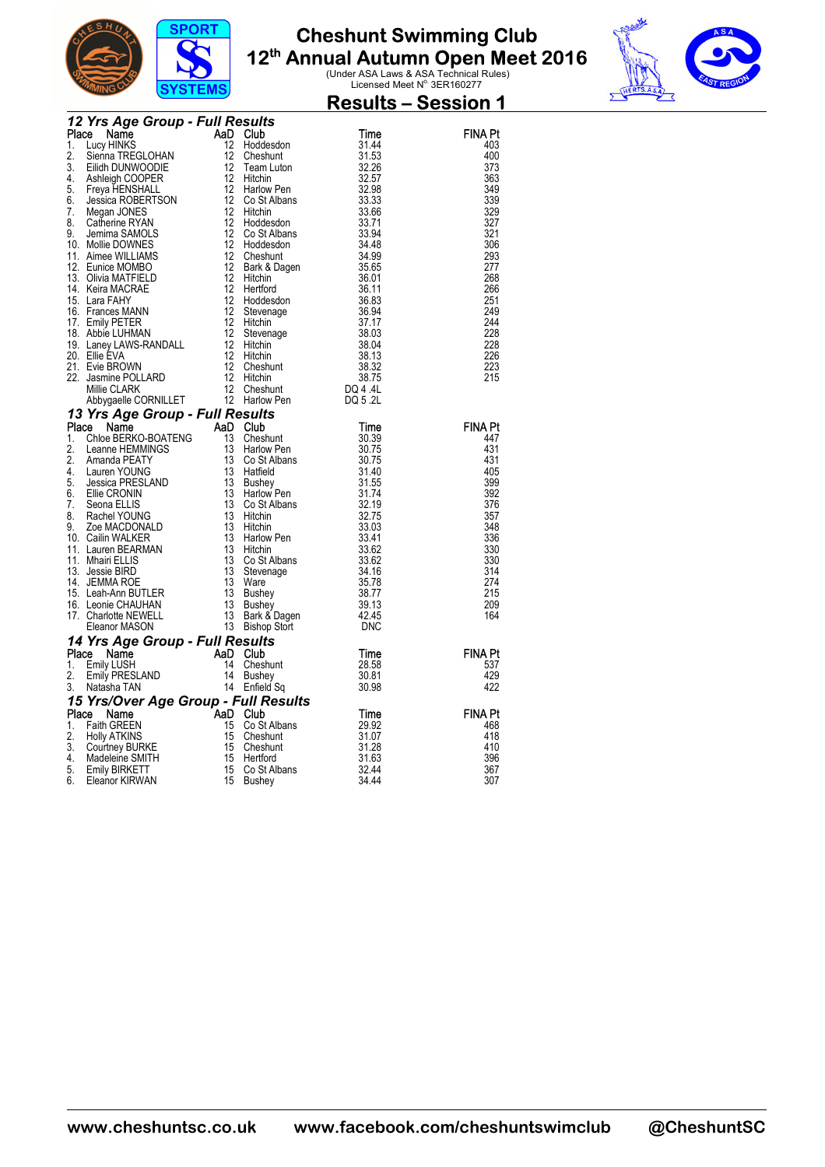



|  |  | <b>Results – Session 1</b>                                                                                                                                                                                                                   |
|--|--|----------------------------------------------------------------------------------------------------------------------------------------------------------------------------------------------------------------------------------------------|
|  |  |                                                                                                                                                                                                                                              |
|  |  | <b>FINA Pt</b>                                                                                                                                                                                                                               |
|  |  | 403                                                                                                                                                                                                                                          |
|  |  | 400                                                                                                                                                                                                                                          |
|  |  | 373                                                                                                                                                                                                                                          |
|  |  | 363                                                                                                                                                                                                                                          |
|  |  | 349                                                                                                                                                                                                                                          |
|  |  | 339                                                                                                                                                                                                                                          |
|  |  | 329                                                                                                                                                                                                                                          |
|  |  | 327                                                                                                                                                                                                                                          |
|  |  | 321                                                                                                                                                                                                                                          |
|  |  | 306                                                                                                                                                                                                                                          |
|  |  | 293                                                                                                                                                                                                                                          |
|  |  | 277<br>268                                                                                                                                                                                                                                   |
|  |  | 266                                                                                                                                                                                                                                          |
|  |  | 251                                                                                                                                                                                                                                          |
|  |  | 249                                                                                                                                                                                                                                          |
|  |  | 244                                                                                                                                                                                                                                          |
|  |  | 228                                                                                                                                                                                                                                          |
|  |  | 228                                                                                                                                                                                                                                          |
|  |  | 226                                                                                                                                                                                                                                          |
|  |  | 223                                                                                                                                                                                                                                          |
|  |  | 215                                                                                                                                                                                                                                          |
|  |  |                                                                                                                                                                                                                                              |
|  |  |                                                                                                                                                                                                                                              |
|  |  |                                                                                                                                                                                                                                              |
|  |  | <b>FINA Pt</b>                                                                                                                                                                                                                               |
|  |  | 447                                                                                                                                                                                                                                          |
|  |  | 431                                                                                                                                                                                                                                          |
|  |  | 431                                                                                                                                                                                                                                          |
|  |  | 405                                                                                                                                                                                                                                          |
|  |  | 399                                                                                                                                                                                                                                          |
|  |  | 392                                                                                                                                                                                                                                          |
|  |  | 376                                                                                                                                                                                                                                          |
|  |  | 357<br>348                                                                                                                                                                                                                                   |
|  |  | 336                                                                                                                                                                                                                                          |
|  |  | 330                                                                                                                                                                                                                                          |
|  |  | 330                                                                                                                                                                                                                                          |
|  |  | 314                                                                                                                                                                                                                                          |
|  |  | 274                                                                                                                                                                                                                                          |
|  |  | 215                                                                                                                                                                                                                                          |
|  |  | 209                                                                                                                                                                                                                                          |
|  |  | 164                                                                                                                                                                                                                                          |
|  |  |                                                                                                                                                                                                                                              |
|  |  |                                                                                                                                                                                                                                              |
|  |  | FINA Pt                                                                                                                                                                                                                                      |
|  |  | 537                                                                                                                                                                                                                                          |
|  |  | 429                                                                                                                                                                                                                                          |
|  |  | 422                                                                                                                                                                                                                                          |
|  |  |                                                                                                                                                                                                                                              |
|  |  | <b>FINA Pt</b>                                                                                                                                                                                                                               |
|  |  | 468<br>418                                                                                                                                                                                                                                   |
|  |  | 410                                                                                                                                                                                                                                          |
|  |  | 396                                                                                                                                                                                                                                          |
|  |  | 367                                                                                                                                                                                                                                          |
|  |  | 307                                                                                                                                                                                                                                          |
|  |  |                                                                                                                                                                                                                                              |
|  |  | <b>The Control Mathematic Care of the Control Mathematical Control Mathematical Control (1988)<br/> 11 August 11 Anne 1990<br/> 11 August 12 August 12 August 12 August 12 August 13 August 13 August 14 August 13 August 14 August 14 A</b> |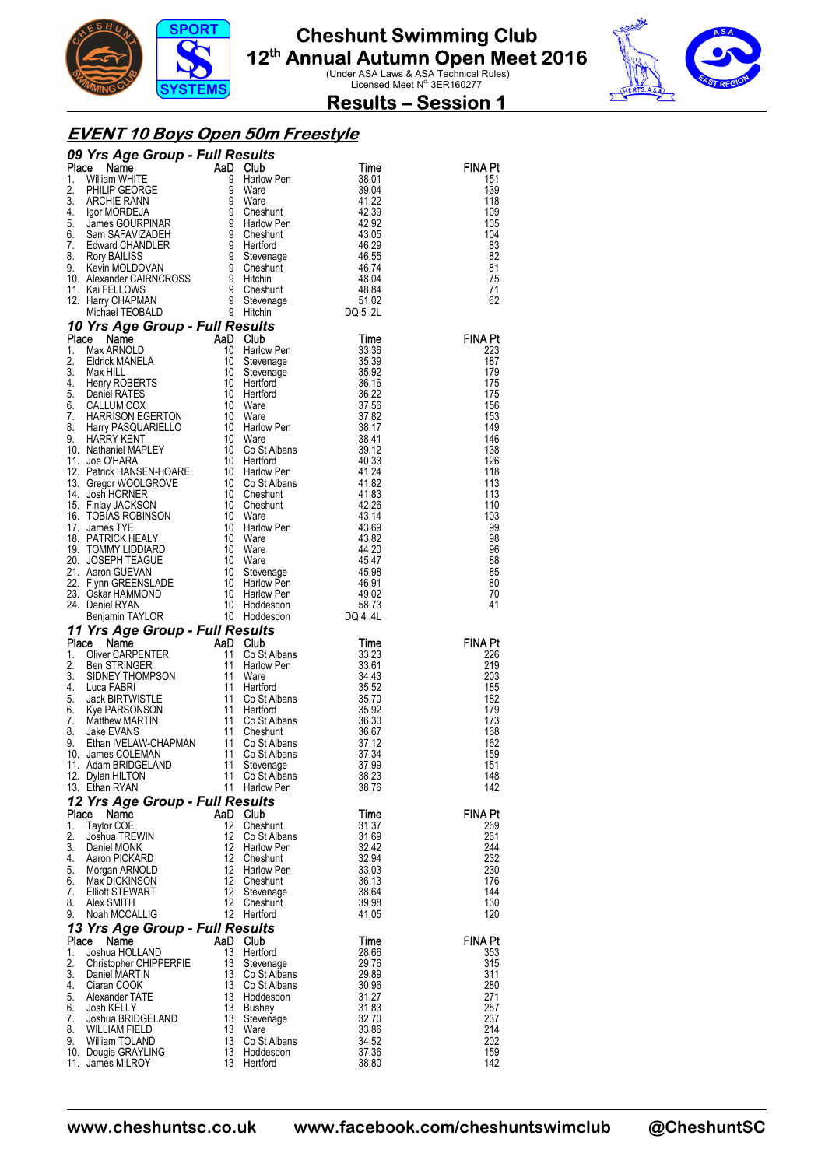



**Results – Session 1** 

#### **EVENT 10 Boys Open 50m Freestyle**

|                                                                                | 09 Yrs Agre Group - Full Results<br>1. Milliam William William William William William William William William William William William William William William William William William William Solembury 1. The Stationary of th |          |                               |                |                |  |  |  |  |  |
|--------------------------------------------------------------------------------|----------------------------------------------------------------------------------------------------------------------------------------------------------------------------------------------------------------------------------|----------|-------------------------------|----------------|----------------|--|--|--|--|--|
|                                                                                |                                                                                                                                                                                                                                  |          |                               |                | <b>FINA Pt</b> |  |  |  |  |  |
|                                                                                |                                                                                                                                                                                                                                  |          |                               |                | 151<br>139     |  |  |  |  |  |
|                                                                                |                                                                                                                                                                                                                                  |          |                               |                | 118            |  |  |  |  |  |
|                                                                                |                                                                                                                                                                                                                                  |          |                               |                | 109            |  |  |  |  |  |
|                                                                                |                                                                                                                                                                                                                                  |          |                               |                | 105            |  |  |  |  |  |
|                                                                                |                                                                                                                                                                                                                                  |          |                               |                | 104<br>83      |  |  |  |  |  |
|                                                                                |                                                                                                                                                                                                                                  |          |                               |                | 82             |  |  |  |  |  |
|                                                                                |                                                                                                                                                                                                                                  |          |                               |                | 81             |  |  |  |  |  |
|                                                                                |                                                                                                                                                                                                                                  |          |                               |                | 75             |  |  |  |  |  |
|                                                                                |                                                                                                                                                                                                                                  |          |                               |                | 71             |  |  |  |  |  |
|                                                                                |                                                                                                                                                                                                                                  |          |                               |                | 62             |  |  |  |  |  |
|                                                                                |                                                                                                                                                                                                                                  |          |                               |                |                |  |  |  |  |  |
|                                                                                |                                                                                                                                                                                                                                  |          |                               |                | <b>FINA Pt</b> |  |  |  |  |  |
|                                                                                |                                                                                                                                                                                                                                  |          |                               |                | 223            |  |  |  |  |  |
|                                                                                |                                                                                                                                                                                                                                  |          |                               |                | 187            |  |  |  |  |  |
|                                                                                |                                                                                                                                                                                                                                  |          |                               |                | 179            |  |  |  |  |  |
|                                                                                |                                                                                                                                                                                                                                  |          |                               |                | 175<br>175     |  |  |  |  |  |
|                                                                                |                                                                                                                                                                                                                                  |          |                               |                | 156            |  |  |  |  |  |
|                                                                                |                                                                                                                                                                                                                                  |          |                               |                | 153            |  |  |  |  |  |
|                                                                                |                                                                                                                                                                                                                                  |          |                               |                | 149            |  |  |  |  |  |
|                                                                                |                                                                                                                                                                                                                                  |          |                               |                | 146            |  |  |  |  |  |
|                                                                                |                                                                                                                                                                                                                                  |          |                               |                | 138<br>126     |  |  |  |  |  |
|                                                                                |                                                                                                                                                                                                                                  |          |                               |                | 118            |  |  |  |  |  |
|                                                                                |                                                                                                                                                                                                                                  |          |                               |                | 113            |  |  |  |  |  |
|                                                                                |                                                                                                                                                                                                                                  |          |                               |                | 113            |  |  |  |  |  |
|                                                                                |                                                                                                                                                                                                                                  |          |                               |                | 110            |  |  |  |  |  |
|                                                                                |                                                                                                                                                                                                                                  |          |                               |                | 103            |  |  |  |  |  |
|                                                                                |                                                                                                                                                                                                                                  |          |                               |                | 99<br>98       |  |  |  |  |  |
|                                                                                |                                                                                                                                                                                                                                  |          |                               |                | 96             |  |  |  |  |  |
|                                                                                |                                                                                                                                                                                                                                  |          |                               |                | 88             |  |  |  |  |  |
|                                                                                |                                                                                                                                                                                                                                  |          |                               |                | 85             |  |  |  |  |  |
|                                                                                |                                                                                                                                                                                                                                  |          |                               |                | 80             |  |  |  |  |  |
|                                                                                |                                                                                                                                                                                                                                  |          |                               |                | 70<br>41       |  |  |  |  |  |
|                                                                                |                                                                                                                                                                                                                                  |          |                               |                |                |  |  |  |  |  |
|                                                                                |                                                                                                                                                                                                                                  |          |                               |                |                |  |  |  |  |  |
|                                                                                |                                                                                                                                                                                                                                  |          |                               |                | <b>FINA Pt</b> |  |  |  |  |  |
|                                                                                |                                                                                                                                                                                                                                  |          |                               |                | 226            |  |  |  |  |  |
|                                                                                |                                                                                                                                                                                                                                  |          |                               |                | 219<br>203     |  |  |  |  |  |
|                                                                                |                                                                                                                                                                                                                                  |          |                               |                | 185            |  |  |  |  |  |
|                                                                                |                                                                                                                                                                                                                                  |          |                               |                | 182            |  |  |  |  |  |
|                                                                                |                                                                                                                                                                                                                                  |          |                               |                | 179            |  |  |  |  |  |
|                                                                                |                                                                                                                                                                                                                                  |          |                               |                | 173            |  |  |  |  |  |
|                                                                                |                                                                                                                                                                                                                                  |          |                               |                | 168<br>162     |  |  |  |  |  |
|                                                                                |                                                                                                                                                                                                                                  |          |                               |                | 159            |  |  |  |  |  |
|                                                                                |                                                                                                                                                                                                                                  |          |                               |                | 151            |  |  |  |  |  |
|                                                                                | 12. Dylan HILTON                                                                                                                                                                                                                 | 11       | Co St Albans                  | 38.23          | 148            |  |  |  |  |  |
|                                                                                | 13. Ethan RYAN                                                                                                                                                                                                                   |          | 11 Harlow Pen                 | 38.76          | 142            |  |  |  |  |  |
| 12 Yrs Age Group - Full Results<br>Place<br><b>FINA Pt</b><br>AaD Club<br>Time |                                                                                                                                                                                                                                  |          |                               |                |                |  |  |  |  |  |
| 1.                                                                             | Name<br><b>Taylor COE</b>                                                                                                                                                                                                        | 12       | Cheshunt                      | 31.37          | 269            |  |  |  |  |  |
| 2.                                                                             | Joshua TREWIN                                                                                                                                                                                                                    | 12       | Co St Albans                  | 31.69          | 261            |  |  |  |  |  |
| 3.                                                                             | Daniel MONK                                                                                                                                                                                                                      | 12       | Harlow Pen                    | 32.42          | 244            |  |  |  |  |  |
| 4.                                                                             | Aaron PICKARD                                                                                                                                                                                                                    | 12       | Cheshunt                      | 32.94          | 232            |  |  |  |  |  |
| 5.<br>6.                                                                       | Morgan ARNOLD<br>Max DICKINSON                                                                                                                                                                                                   | 12<br>12 | <b>Harlow Pen</b><br>Cheshunt | 33.03<br>36.13 | 230<br>176     |  |  |  |  |  |
| 7.                                                                             | Elliott STEWART                                                                                                                                                                                                                  | 12       | Stevenage                     | 38.64          | 144            |  |  |  |  |  |
| 8.                                                                             | Alex SMITH                                                                                                                                                                                                                       | 12       | Cheshunt                      | 39.98          | 130            |  |  |  |  |  |
| 9.                                                                             | Noah MCCALLIG                                                                                                                                                                                                                    |          | 12 Hertford                   | 41.05          | 120            |  |  |  |  |  |
|                                                                                | 13 Yrs Age Group - Full Results                                                                                                                                                                                                  |          |                               |                |                |  |  |  |  |  |
| Place                                                                          | Name                                                                                                                                                                                                                             | AaD      | Club                          | Time           | <b>FINA Pt</b> |  |  |  |  |  |
| 1.<br>2.                                                                       | Joshua HOLLAND<br>Christopher CHIPPERFIE                                                                                                                                                                                         | 13<br>13 | Hertford<br>Stevenage         | 28.66<br>29.76 | 353<br>315     |  |  |  |  |  |
| 3.                                                                             | Daniel MARTIN                                                                                                                                                                                                                    | 13       | Co St Albans                  | 29.89          | 311            |  |  |  |  |  |
| 4.                                                                             | Ciaran COOK                                                                                                                                                                                                                      | 13       | Co St Albans                  | 30.96          | 280            |  |  |  |  |  |
| 5.                                                                             | Alexander TATE                                                                                                                                                                                                                   | 13       | Hoddesdon                     | 31.27          | 271            |  |  |  |  |  |
| 6.                                                                             | Josh KELLY                                                                                                                                                                                                                       | 13       | Bushey                        | 31.83          | 257            |  |  |  |  |  |
| 7.<br>8.                                                                       | Joshua BRIDGELAND<br><b>WILLIAM FIELD</b>                                                                                                                                                                                        | 13<br>13 | Stevenage<br>Ware             | 32.70<br>33.86 | 237<br>214     |  |  |  |  |  |
| 9.                                                                             | William TOLAND                                                                                                                                                                                                                   | 13       | Co St Albans                  | 34.52          | 202            |  |  |  |  |  |
|                                                                                | 10. Dougie GRAYLING                                                                                                                                                                                                              | 13       | Hoddesdon                     | 37.36          | 159            |  |  |  |  |  |
|                                                                                | 11. James MILROY                                                                                                                                                                                                                 | 13       | Hertford                      | 38.80          | 142            |  |  |  |  |  |